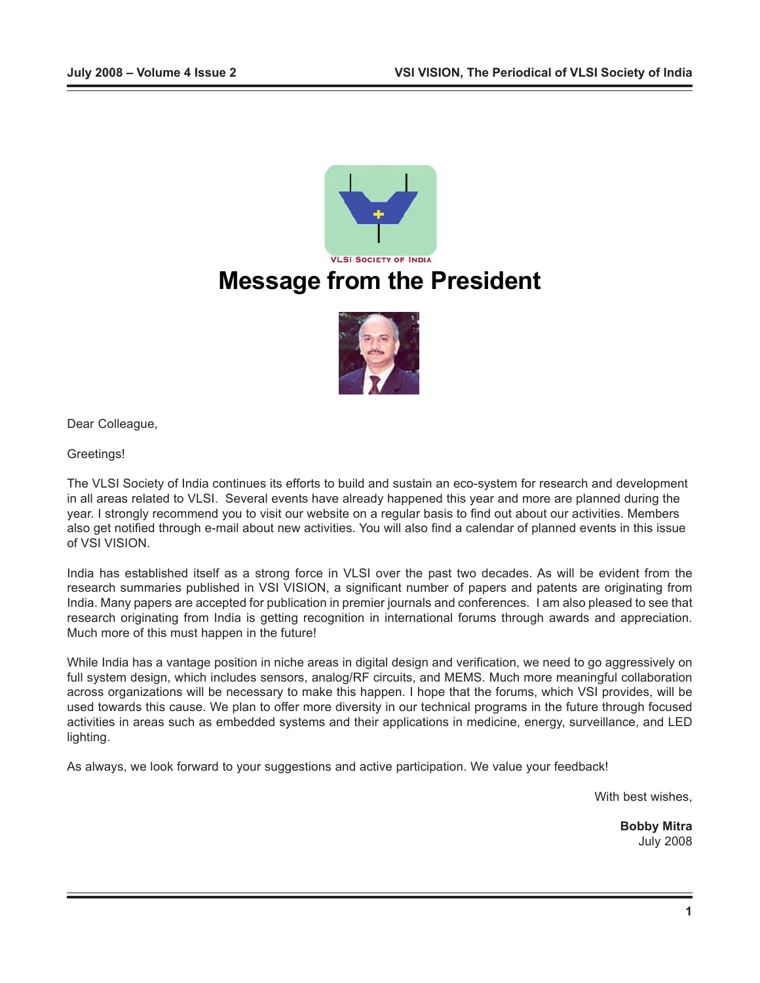

**VLSI SOCIETY OF INDIA** 

# **Message from the President**



Dear Colleague,

Greetings!

The VLSI Society of India continues its efforts to build and sustain an eco-system for research and development in all areas related to VLSI. Several events have already happened this year and more are planned during the year. I strongly recommend you to visit our website on a regular basis to find out about our activities. Members also get notified through e-mail about new activities. You will also find a calendar of planned events in this issue of VSI VISION.

India has established itself as a strong force in VLSI over the past two decades. As will be evident from the research summaries published in VSI VISION, a significant number of papers and patents are originating from India. Many papers are accepted for publication in premier journals and conferences. I am also pleased to see that research originating from India is getting recognition in international forums through awards and appreciation. Much more of this must happen in the future!

While India has a vantage position in niche areas in digital design and verification, we need to go aggressively on full system design, which includes sensors, analog/RF circuits, and MEMS. Much more meaningful collaboration across organizations will be necessary to make this happen. I hope that the forums, which VSI provides, will be used towards this cause. We plan to offer more diversity in our technical programs in the future through focused activities in areas such as embedded systems and their applications in medicine, energy, surveillance, and LED lighting.

As always, we look forward to your suggestions and active participation. We value your feedback!

With best wishes,

**Bobby Mitra** July 2008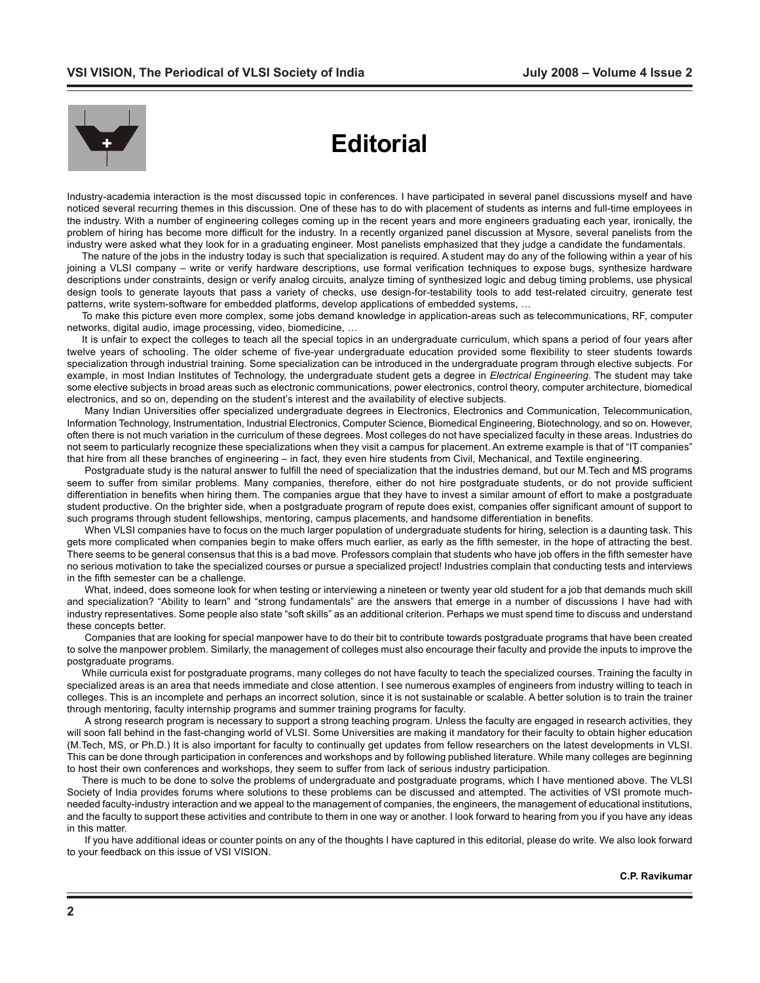

# **Editorial**

Industry-academia interaction is the most discussed topic in conferences. I have participated in several panel discussions myself and have noticed several recurring themes in this discussion. One of these has to do with placement of students as interns and full-time employees in the industry. With a number of engineering colleges coming up in the recent years and more engineers graduating each year, ironically, the problem of hiring has become more difficult for the industry. In a recently organized panel discussion at Mysore, several panelists from the industry were asked what they look for in a graduating engineer. Most panelists emphasized that they judge a candidate the fundamentals.

The nature of the jobs in the industry today is such that specialization is required. A student may do any of the following within a year of his joining a VLSI company – write or verify hardware descriptions, use formal verification techniques to expose bugs, synthesize hardware descriptions under constraints, design or verify analog circuits, analyze timing of synthesized logic and debug timing problems, use physical design tools to generate layouts that pass a variety of checks, use design-for-testability tools to add test-related circuitry, generate test patterns, write system-software for embedded platforms, develop applications of embedded systems, …

To make this picture even more complex, some jobs demand knowledge in application-areas such as telecommunications, RF, computer networks, digital audio, image processing, video, biomedicine, …

It is unfair to expect the colleges to teach all the special topics in an undergraduate curriculum, which spans a period of four years after twelve years of schooling. The older scheme of five-year undergraduate education provided some flexibility to steer students towards specialization through industrial training. Some specialization can be introduced in the undergraduate program through elective subjects. For example, in most Indian Institutes of Technology, the undergraduate student gets a degree in *Electrical Engineering*. The student may take some elective subjects in broad areas such as electronic communications, power electronics, control theory, computer architecture, biomedical electronics, and so on, depending on the student's interest and the availability of elective subjects.

 Many Indian Universities offer specialized undergraduate degrees in Electronics, Electronics and Communication, Telecommunication, Information Technology, Instrumentation, Industrial Electronics, Computer Science, Biomedical Engineering, Biotechnology, and so on. However, often there is not much variation in the curriculum of these degrees. Most colleges do not have specialized faculty in these areas. Industries do not seem to particularly recognize these specializations when they visit a campus for placement. An extreme example is that of "IT companies" that hire from all these branches of engineering – in fact, they even hire students from Civil, Mechanical, and Textile engineering.

 Postgraduate study is the natural answer to fulfill the need of specialization that the industries demand, but our M.Tech and MS programs seem to suffer from similar problems. Many companies, therefore, either do not hire postgraduate students, or do not provide sufficient differentiation in benefits when hiring them. The companies argue that they have to invest a similar amount of effort to make a postgraduate student productive. On the brighter side, when a postgraduate program of repute does exist, companies offer significant amount of support to such programs through student fellowships, mentoring, campus placements, and handsome differentiation in benefits.

 When VLSI companies have to focus on the much larger population of undergraduate students for hiring, selection is a daunting task. This gets more complicated when companies begin to make offers much earlier, as early as the fifth semester, in the hope of attracting the best. There seems to be general consensus that this is a bad move. Professors complain that students who have job offers in the fifth semester have no serious motivation to take the specialized courses or pursue a specialized project! Industries complain that conducting tests and interviews in the fifth semester can be a challenge.

 What, indeed, does someone look for when testing or interviewing a nineteen or twenty year old student for a job that demands much skill and specialization? "Ability to learn" and "strong fundamentals" are the answers that emerge in a number of discussions I have had with industry representatives. Some people also state "soft skills" as an additional criterion. Perhaps we must spend time to discuss and understand these concepts better.

 Companies that are looking for special manpower have to do their bit to contribute towards postgraduate programs that have been created to solve the manpower problem. Similarly, the management of colleges must also encourage their faculty and provide the inputs to improve the postgraduate programs.

While curricula exist for postgraduate programs, many colleges do not have faculty to teach the specialized courses. Training the faculty in specialized areas is an area that needs immediate and close attention. I see numerous examples of engineers from industry willing to teach in colleges. This is an incomplete and perhaps an incorrect solution, since it is not sustainable or scalable. A better solution is to train the trainer through mentoring, faculty internship programs and summer training programs for faculty.

 A strong research program is necessary to support a strong teaching program. Unless the faculty are engaged in research activities, they will soon fall behind in the fast-changing world of VLSI. Some Universities are making it mandatory for their faculty to obtain higher education (M.Tech, MS, or Ph.D.) It is also important for faculty to continually get updates from fellow researchers on the latest developments in VLSI. This can be done through participation in conferences and workshops and by following published literature. While many colleges are beginning to host their own conferences and workshops, they seem to suffer from lack of serious industry participation.

There is much to be done to solve the problems of undergraduate and postgraduate programs, which I have mentioned above. The VLSI Society of India provides forums where solutions to these problems can be discussed and attempted. The activities of VSI promote muchneeded faculty-industry interaction and we appeal to the management of companies, the engineers, the management of educational institutions, and the faculty to support these activities and contribute to them in one way or another. I look forward to hearing from you if you have any ideas in this matter.

 If you have additional ideas or counter points on any of the thoughts I have captured in this editorial, please do write. We also look forward to your feedback on this issue of VSI VISION.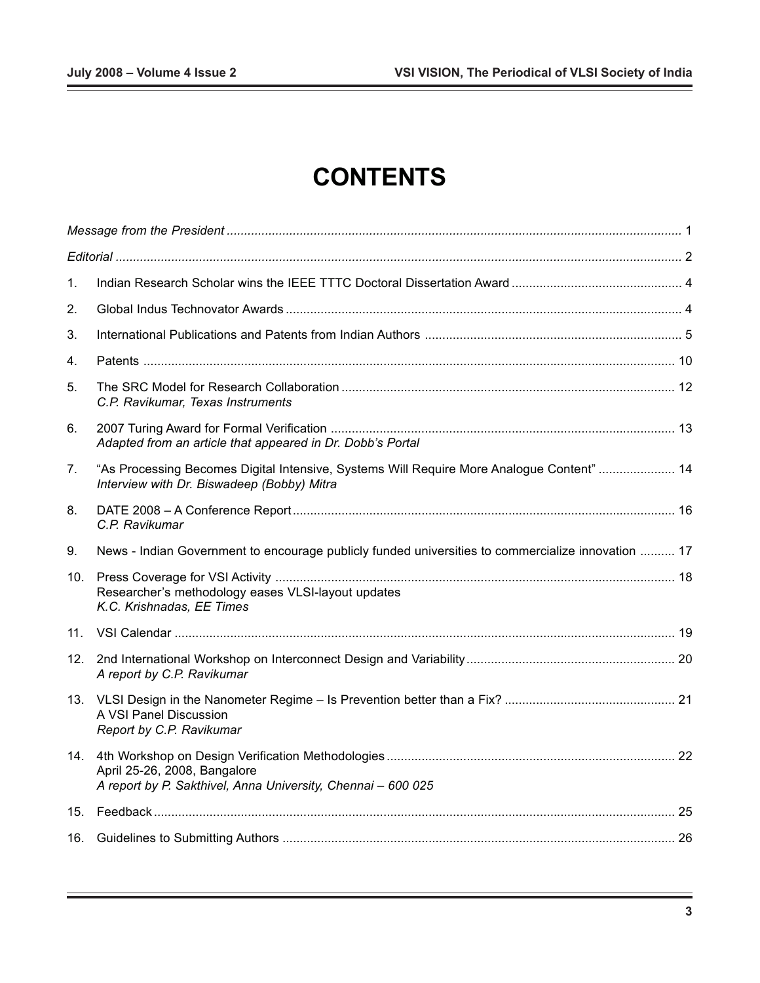<u> Elizabeth Company (</u>

 $\sim$   $\sim$   $\sim$ 

# **CONTENTS**

| 1.  |                                                                                                                                         |  |
|-----|-----------------------------------------------------------------------------------------------------------------------------------------|--|
| 2.  |                                                                                                                                         |  |
| 3.  |                                                                                                                                         |  |
| 4.  |                                                                                                                                         |  |
| 5.  | C.P. Ravikumar, Texas Instruments                                                                                                       |  |
| 6.  | Adapted from an article that appeared in Dr. Dobb's Portal                                                                              |  |
| 7.  | "As Processing Becomes Digital Intensive, Systems Will Require More Analogue Content"  14<br>Interview with Dr. Biswadeep (Bobby) Mitra |  |
| 8.  | C.P. Ravikumar                                                                                                                          |  |
| 9.  | News - Indian Government to encourage publicly funded universities to commercialize innovation  17                                      |  |
| 10. | Researcher's methodology eases VLSI-layout updates<br>K.C. Krishnadas, EE Times                                                         |  |
| 11. |                                                                                                                                         |  |
| 12. | A report by C.P. Ravikumar                                                                                                              |  |
|     | A VSI Panel Discussion<br>Report by C.P. Ravikumar                                                                                      |  |
| 14. | April 25-26, 2008, Bangalore<br>A report by P. Sakthivel, Anna University, Chennai - 600 025                                            |  |
|     |                                                                                                                                         |  |
|     |                                                                                                                                         |  |
|     |                                                                                                                                         |  |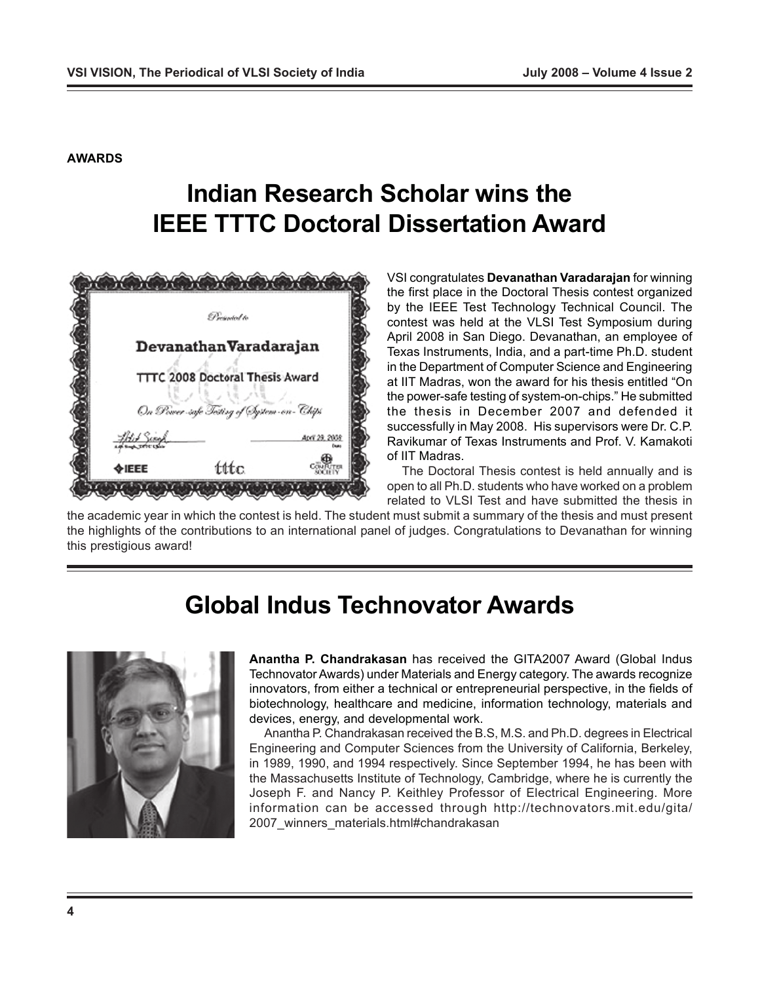**AWARDS**

# **Indian Research Scholar wins the IEEE TTTC Doctoral Dissertation Award**



VSI congratulates **Devanathan Varadarajan** for winning the first place in the Doctoral Thesis contest organized by the IEEE Test Technology Technical Council. The contest was held at the VLSI Test Symposium during April 2008 in San Diego. Devanathan, an employee of Texas Instruments, India, and a part-time Ph.D. student in the Department of Computer Science and Engineering at IIT Madras, won the award for his thesis entitled "On the power-safe testing of system-on-chips." He submitted the thesis in December 2007 and defended it successfully in May 2008. His supervisors were Dr. C.P. Ravikumar of Texas Instruments and Prof. V. Kamakoti of IIT Madras.

The Doctoral Thesis contest is held annually and is open to all Ph.D. students who have worked on a problem related to VLSI Test and have submitted the thesis in

the academic year in which the contest is held. The student must submit a summary of the thesis and must present the highlights of the contributions to an international panel of judges. Congratulations to Devanathan for winning this prestigious award!

# **Global Indus Technovator Awards**



**Anantha P. Chandrakasan** has received the GITA2007 Award (Global Indus Technovator Awards) under Materials and Energy category. The awards recognize innovators, from either a technical or entrepreneurial perspective, in the fields of biotechnology, healthcare and medicine, information technology, materials and devices, energy, and developmental work.

Anantha P. Chandrakasan received the B.S, M.S. and Ph.D. degrees in Electrical Engineering and Computer Sciences from the University of California, Berkeley, in 1989, 1990, and 1994 respectively. Since September 1994, he has been with the Massachusetts Institute of Technology, Cambridge, where he is currently the Joseph F. and Nancy P. Keithley Professor of Electrical Engineering. More information can be accessed through http://technovators.mit.edu/gita/ 2007\_winners\_materials.html#chandrakasan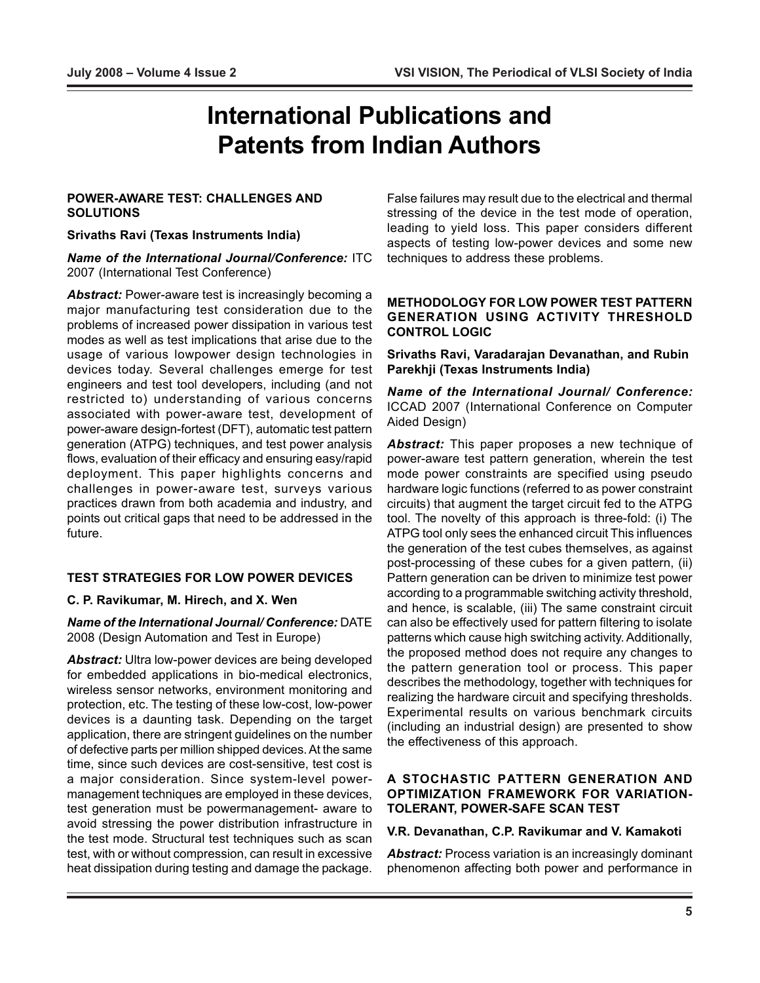# **International Publications and Patents from Indian Authors**

### **POWER-AWARE TEST: CHALLENGES AND SOLUTIONS**

**Srivaths Ravi (Texas Instruments India)**

*Name of the International Journal/Conference:* ITC 2007 (International Test Conference)

*Abstract:* Power-aware test is increasingly becoming a major manufacturing test consideration due to the problems of increased power dissipation in various test modes as well as test implications that arise due to the usage of various lowpower design technologies in devices today. Several challenges emerge for test engineers and test tool developers, including (and not restricted to) understanding of various concerns associated with power-aware test, development of power-aware design-fortest (DFT), automatic test pattern generation (ATPG) techniques, and test power analysis flows, evaluation of their efficacy and ensuring easy/rapid deployment. This paper highlights concerns and challenges in power-aware test, surveys various practices drawn from both academia and industry, and points out critical gaps that need to be addressed in the future.

#### **TEST STRATEGIES FOR LOW POWER DEVICES**

#### **C. P. Ravikumar, M. Hirech, and X. Wen**

*Name of the International Journal/ Conference:* DATE 2008 (Design Automation and Test in Europe)

*Abstract:* Ultra low-power devices are being developed for embedded applications in bio-medical electronics, wireless sensor networks, environment monitoring and protection, etc. The testing of these low-cost, low-power devices is a daunting task. Depending on the target application, there are stringent guidelines on the number of defective parts per million shipped devices. At the same time, since such devices are cost-sensitive, test cost is a major consideration. Since system-level powermanagement techniques are employed in these devices, test generation must be powermanagement- aware to avoid stressing the power distribution infrastructure in the test mode. Structural test techniques such as scan test, with or without compression, can result in excessive heat dissipation during testing and damage the package.

False failures may result due to the electrical and thermal stressing of the device in the test mode of operation, leading to yield loss. This paper considers different aspects of testing low-power devices and some new techniques to address these problems.

### **METHODOLOGY FOR LOW POWER TEST PATTERN GENERATION USING ACTIVITY THRESHOLD CONTROL LOGIC**

**Srivaths Ravi, Varadarajan Devanathan, and Rubin Parekhji (Texas Instruments India)**

*Name of the International Journal/ Conference:* ICCAD 2007 (International Conference on Computer Aided Design)

*Abstract:* This paper proposes a new technique of power-aware test pattern generation, wherein the test mode power constraints are specified using pseudo hardware logic functions (referred to as power constraint circuits) that augment the target circuit fed to the ATPG tool. The novelty of this approach is three-fold: (i) The ATPG tool only sees the enhanced circuit This influences the generation of the test cubes themselves, as against post-processing of these cubes for a given pattern, (ii) Pattern generation can be driven to minimize test power according to a programmable switching activity threshold, and hence, is scalable, (iii) The same constraint circuit can also be effectively used for pattern filtering to isolate patterns which cause high switching activity. Additionally, the proposed method does not require any changes to the pattern generation tool or process. This paper describes the methodology, together with techniques for realizing the hardware circuit and specifying thresholds. Experimental results on various benchmark circuits (including an industrial design) are presented to show the effectiveness of this approach.

### **A STOCHASTIC PATTERN GENERATION AND OPTIMIZATION FRAMEWORK FOR VARIATION-TOLERANT, POWER-SAFE SCAN TEST**

**V.R. Devanathan, C.P. Ravikumar and V. Kamakoti**

*Abstract:* Process variation is an increasingly dominant phenomenon affecting both power and performance in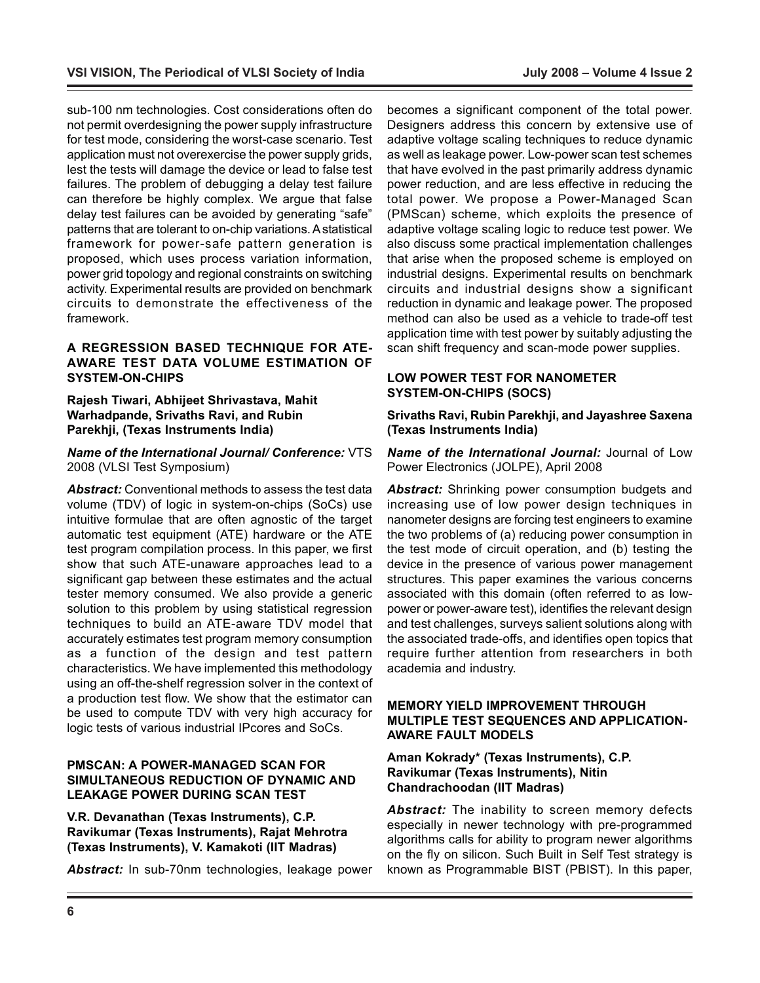sub-100 nm technologies. Cost considerations often do not permit overdesigning the power supply infrastructure for test mode, considering the worst-case scenario. Test application must not overexercise the power supply grids, lest the tests will damage the device or lead to false test failures. The problem of debugging a delay test failure can therefore be highly complex. We argue that false delay test failures can be avoided by generating "safe" patterns that are tolerant to on-chip variations. A statistical framework for power-safe pattern generation is proposed, which uses process variation information, power grid topology and regional constraints on switching activity. Experimental results are provided on benchmark circuits to demonstrate the effectiveness of the framework.

### **A REGRESSION BASED TECHNIQUE FOR ATE-AWARE TEST DATA VOLUME ESTIMATION OF SYSTEM-ON-CHIPS**

**Rajesh Tiwari, Abhijeet Shrivastava, Mahit Warhadpande, Srivaths Ravi, and Rubin Parekhji, (Texas Instruments India)**

### *Name of the International Journal/ Conference:* VTS 2008 (VLSI Test Symposium)

*Abstract:* Conventional methods to assess the test data volume (TDV) of logic in system-on-chips (SoCs) use intuitive formulae that are often agnostic of the target automatic test equipment (ATE) hardware or the ATE test program compilation process. In this paper, we first show that such ATE-unaware approaches lead to a significant gap between these estimates and the actual tester memory consumed. We also provide a generic solution to this problem by using statistical regression techniques to build an ATE-aware TDV model that accurately estimates test program memory consumption as a function of the design and test pattern characteristics. We have implemented this methodology using an off-the-shelf regression solver in the context of a production test flow. We show that the estimator can be used to compute TDV with very high accuracy for logic tests of various industrial IPcores and SoCs.

### **PMSCAN: A POWER-MANAGED SCAN FOR SIMULTANEOUS REDUCTION OF DYNAMIC AND LEAKAGE POWER DURING SCAN TEST**

### **V.R. Devanathan (Texas Instruments), C.P. Ravikumar (Texas Instruments), Rajat Mehrotra (Texas Instruments), V. Kamakoti (IIT Madras)**

*Abstract:* In sub-70nm technologies, leakage power

becomes a significant component of the total power. Designers address this concern by extensive use of adaptive voltage scaling techniques to reduce dynamic as well as leakage power. Low-power scan test schemes that have evolved in the past primarily address dynamic power reduction, and are less effective in reducing the total power. We propose a Power-Managed Scan (PMScan) scheme, which exploits the presence of adaptive voltage scaling logic to reduce test power. We also discuss some practical implementation challenges that arise when the proposed scheme is employed on industrial designs. Experimental results on benchmark circuits and industrial designs show a significant reduction in dynamic and leakage power. The proposed method can also be used as a vehicle to trade-off test application time with test power by suitably adjusting the scan shift frequency and scan-mode power supplies.

### **LOW POWER TEST FOR NANOMETER SYSTEM-ON-CHIPS (SOCS)**

**Srivaths Ravi, Rubin Parekhji, and Jayashree Saxena (Texas Instruments India)**

*Name of the International Journal:* Journal of Low Power Electronics (JOLPE), April 2008

*Abstract:* Shrinking power consumption budgets and increasing use of low power design techniques in nanometer designs are forcing test engineers to examine the two problems of (a) reducing power consumption in the test mode of circuit operation, and (b) testing the device in the presence of various power management structures. This paper examines the various concerns associated with this domain (often referred to as lowpower or power-aware test), identifies the relevant design and test challenges, surveys salient solutions along with the associated trade-offs, and identifies open topics that require further attention from researchers in both academia and industry.

### **MEMORY YIELD IMPROVEMENT THROUGH MULTIPLE TEST SEQUENCES AND APPLICATION-AWARE FAULT MODELS**

### **Aman Kokrady\* (Texas Instruments), C.P. Ravikumar (Texas Instruments), Nitin Chandrachoodan (IIT Madras)**

*Abstract:* The inability to screen memory defects especially in newer technology with pre-programmed algorithms calls for ability to program newer algorithms on the fly on silicon. Such Built in Self Test strategy is known as Programmable BIST (PBIST). In this paper,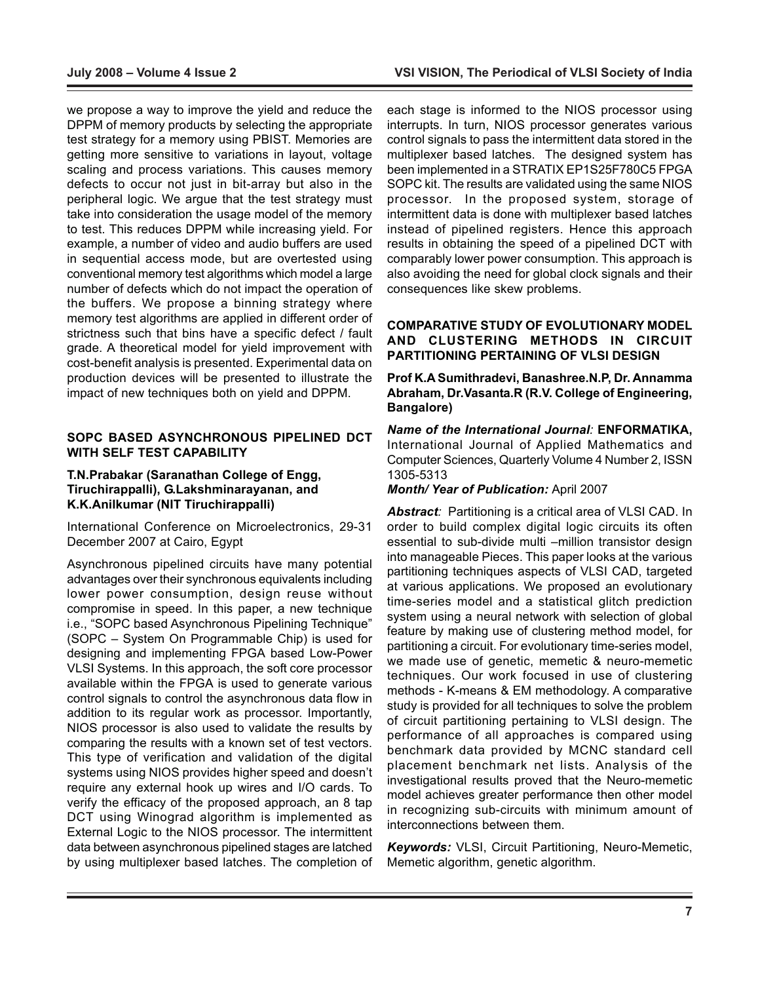we propose a way to improve the yield and reduce the DPPM of memory products by selecting the appropriate test strategy for a memory using PBIST. Memories are getting more sensitive to variations in layout, voltage scaling and process variations. This causes memory defects to occur not just in bit-array but also in the peripheral logic. We argue that the test strategy must take into consideration the usage model of the memory to test. This reduces DPPM while increasing yield. For example, a number of video and audio buffers are used in sequential access mode, but are overtested using conventional memory test algorithms which model a large number of defects which do not impact the operation of the buffers. We propose a binning strategy where memory test algorithms are applied in different order of strictness such that bins have a specific defect / fault grade. A theoretical model for yield improvement with cost-benefit analysis is presented. Experimental data on production devices will be presented to illustrate the impact of new techniques both on yield and DPPM.

### **SOPC BASED ASYNCHRONOUS PIPELINED DCT WITH SELF TEST CAPABILITY**

#### **T.N.Prabakar (Saranathan College of Engg, Tiruchirappalli), G.Lakshminarayanan, and K.K.Anilkumar (NIT Tiruchirappalli)**

International Conference on Microelectronics, 29-31 December 2007 at Cairo, Egypt

Asynchronous pipelined circuits have many potential advantages over their synchronous equivalents including lower power consumption, design reuse without compromise in speed. In this paper, a new technique i.e., "SOPC based Asynchronous Pipelining Technique" (SOPC – System On Programmable Chip) is used for designing and implementing FPGA based Low-Power VLSI Systems. In this approach, the soft core processor available within the FPGA is used to generate various control signals to control the asynchronous data flow in addition to its regular work as processor. Importantly, NIOS processor is also used to validate the results by comparing the results with a known set of test vectors. This type of verification and validation of the digital systems using NIOS provides higher speed and doesn't require any external hook up wires and I/O cards. To verify the efficacy of the proposed approach, an 8 tap DCT using Winograd algorithm is implemented as External Logic to the NIOS processor. The intermittent data between asynchronous pipelined stages are latched by using multiplexer based latches. The completion of

each stage is informed to the NIOS processor using interrupts. In turn, NIOS processor generates various control signals to pass the intermittent data stored in the multiplexer based latches. The designed system has been implemented in a STRATIX EP1S25F780C5 FPGA SOPC kit. The results are validated using the same NIOS processor. In the proposed system, storage of intermittent data is done with multiplexer based latches instead of pipelined registers. Hence this approach results in obtaining the speed of a pipelined DCT with comparably lower power consumption. This approach is also avoiding the need for global clock signals and their consequences like skew problems.

### **COMPARATIVE STUDY OF EVOLUTIONARY MODEL AND CLUSTERING METHODS IN CIRCUIT PARTITIONING PERTAINING OF VLSI DESIGN**

**Prof K.A Sumithradevi, Banashree.N.P, Dr. Annamma Abraham, Dr.Vasanta.R (R.V. College of Engineering, Bangalore)**

*Name of the International Journal:* **ENFORMATIKA,** International Journal of Applied Mathematics and Computer Sciences, Quarterly Volume 4 Number 2, ISSN 1305-5313

#### *Month/ Year of Publication:* April 2007

Abstract: Partitioning is a critical area of VLSI CAD. In order to build complex digital logic circuits its often essential to sub-divide multi –million transistor design into manageable Pieces. This paper looks at the various partitioning techniques aspects of VLSI CAD, targeted at various applications. We proposed an evolutionary time-series model and a statistical glitch prediction system using a neural network with selection of global feature by making use of clustering method model, for partitioning a circuit. For evolutionary time-series model, we made use of genetic, memetic & neuro-memetic techniques. Our work focused in use of clustering methods - K-means & EM methodology. A comparative study is provided for all techniques to solve the problem of circuit partitioning pertaining to VLSI design. The performance of all approaches is compared using benchmark data provided by MCNC standard cell placement benchmark net lists. Analysis of the investigational results proved that the Neuro-memetic model achieves greater performance then other model in recognizing sub-circuits with minimum amount of interconnections between them.

*Keywords:* VLSI, Circuit Partitioning, Neuro-Memetic, Memetic algorithm, genetic algorithm.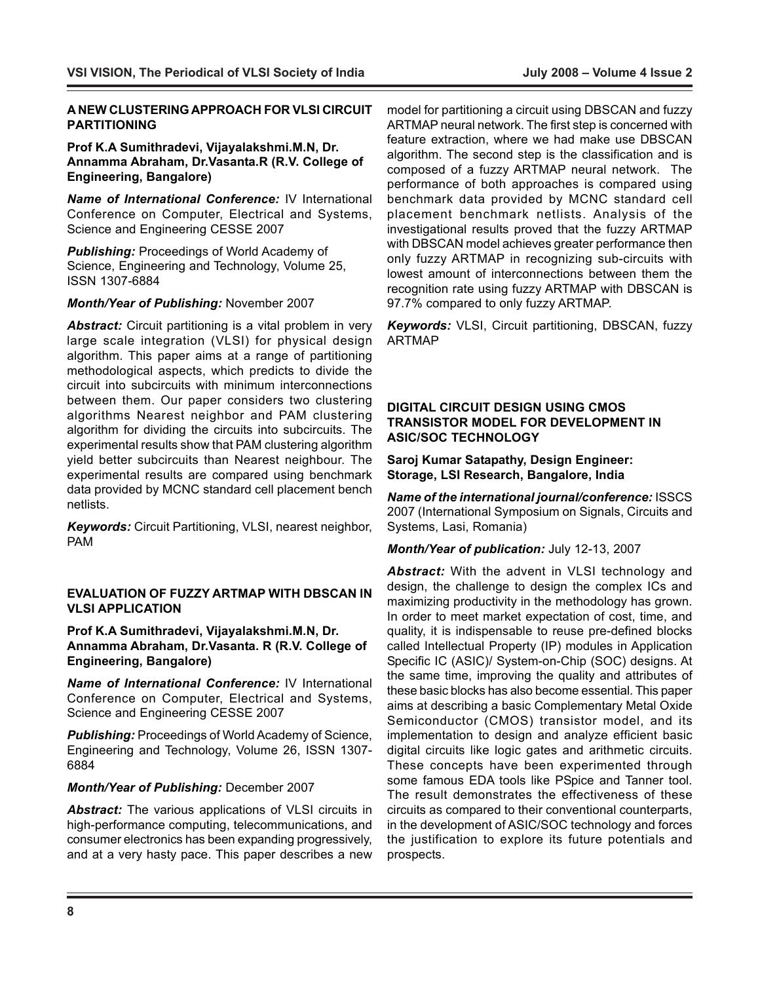### **A NEW CLUSTERING APPROACH FOR VLSI CIRCUIT PARTITIONING**

#### **Prof K.A Sumithradevi, Vijayalakshmi.M.N, Dr. Annamma Abraham, Dr.Vasanta.R (R.V. College of Engineering, Bangalore)**

*Name of International Conference:* IV International Conference on Computer, Electrical and Systems, Science and Engineering CESSE 2007

*Publishing:* Proceedings of World Academy of Science, Engineering and Technology, Volume 25, ISSN 1307-6884

#### *Month/Year of Publishing:* November 2007

Abstract: Circuit partitioning is a vital problem in very large scale integration (VLSI) for physical design algorithm. This paper aims at a range of partitioning methodological aspects, which predicts to divide the circuit into subcircuits with minimum interconnections between them. Our paper considers two clustering algorithms Nearest neighbor and PAM clustering algorithm for dividing the circuits into subcircuits. The experimental results show that PAM clustering algorithm yield better subcircuits than Nearest neighbour. The experimental results are compared using benchmark data provided by MCNC standard cell placement bench netlists.

*Keywords:* Circuit Partitioning, VLSI, nearest neighbor, PAM

### **EVALUATION OF FUZZY ARTMAP WITH DBSCAN IN VLSI APPLICATION**

#### **Prof K.A Sumithradevi, Vijayalakshmi.M.N, Dr. Annamma Abraham, Dr.Vasanta. R (R.V. College of Engineering, Bangalore)**

*Name of International Conference:* IV International Conference on Computer, Electrical and Systems, Science and Engineering CESSE 2007

*Publishing:* Proceedings of World Academy of Science, Engineering and Technology, Volume 26, ISSN 1307- 6884

#### *Month/Year of Publishing:* December 2007

Abstract: The various applications of VLSI circuits in high-performance computing, telecommunications, and consumer electronics has been expanding progressively, and at a very hasty pace. This paper describes a new model for partitioning a circuit using DBSCAN and fuzzy ARTMAP neural network. The first step is concerned with feature extraction, where we had make use DBSCAN algorithm. The second step is the classification and is composed of a fuzzy ARTMAP neural network. The performance of both approaches is compared using benchmark data provided by MCNC standard cell placement benchmark netlists. Analysis of the investigational results proved that the fuzzy ARTMAP with DBSCAN model achieves greater performance then only fuzzy ARTMAP in recognizing sub-circuits with lowest amount of interconnections between them the recognition rate using fuzzy ARTMAP with DBSCAN is 97.7% compared to only fuzzy ARTMAP.

*Keywords:* VLSI, Circuit partitioning, DBSCAN, fuzzy ARTMAP

#### **DIGITAL CIRCUIT DESIGN USING CMOS TRANSISTOR MODEL FOR DEVELOPMENT IN ASIC/SOC TECHNOLOGY**

#### **Saroj Kumar Satapathy, Design Engineer: Storage, LSI Research, Bangalore, India**

*Name of the international journal/conference:* ISSCS 2007 (International Symposium on Signals, Circuits and Systems, Lasi, Romania)

*Month/Year of publication:* July 12-13, 2007

*Abstract:* With the advent in VLSI technology and design, the challenge to design the complex ICs and maximizing productivity in the methodology has grown. In order to meet market expectation of cost, time, and quality, it is indispensable to reuse pre-defined blocks called Intellectual Property (IP) modules in Application Specific IC (ASIC)/ System-on-Chip (SOC) designs. At the same time, improving the quality and attributes of these basic blocks has also become essential. This paper aims at describing a basic Complementary Metal Oxide Semiconductor (CMOS) transistor model, and its implementation to design and analyze efficient basic digital circuits like logic gates and arithmetic circuits. These concepts have been experimented through some famous EDA tools like PSpice and Tanner tool. The result demonstrates the effectiveness of these circuits as compared to their conventional counterparts, in the development of ASIC/SOC technology and forces the justification to explore its future potentials and prospects.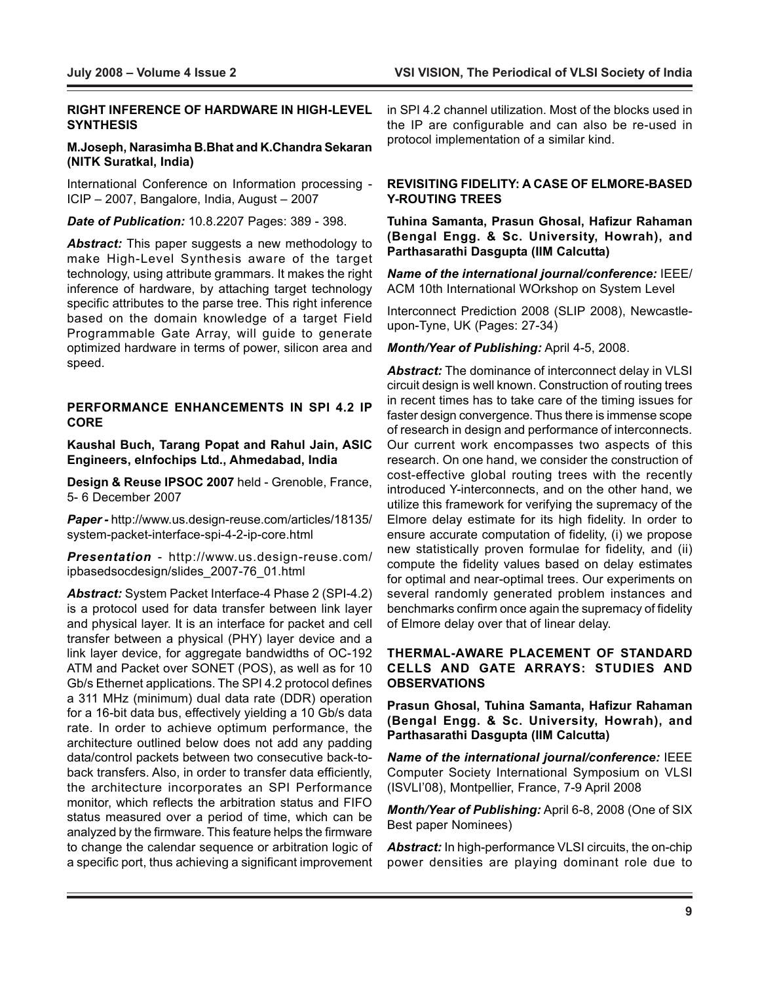### **RIGHT INFERENCE OF HARDWARE IN HIGH-LEVEL SYNTHESIS**

### **M.Joseph, Narasimha B.Bhat and K.Chandra Sekaran (NITK Suratkal, India)**

International Conference on Information processing - ICIP – 2007, Bangalore, India, August – 2007

#### *Date of Publication:* 10.8.2207 Pages: 389 - 398.

*Abstract:* This paper suggests a new methodology to make High-Level Synthesis aware of the target technology, using attribute grammars. It makes the right inference of hardware, by attaching target technology specific attributes to the parse tree. This right inference based on the domain knowledge of a target Field Programmable Gate Array, will guide to generate optimized hardware in terms of power, silicon area and speed.

### **PERFORMANCE ENHANCEMENTS IN SPI 4.2 IP CORE**

**Kaushal Buch, Tarang Popat and Rahul Jain, ASIC Engineers, eInfochips Ltd., Ahmedabad, India**

**Design & Reuse IPSOC 2007** held - Grenoble, France, 5- 6 December 2007

*Paper -* http://www.us.design-reuse.com/articles/18135/ system-packet-interface-spi-4-2-ip-core.html

*Presentation* - http://www.us.design-reuse.com/ ipbasedsocdesign/slides\_2007-76\_01.html

*Abstract:* System Packet Interface-4 Phase 2 (SPI-4.2) is a protocol used for data transfer between link layer and physical layer. It is an interface for packet and cell transfer between a physical (PHY) layer device and a link layer device, for aggregate bandwidths of OC-192 ATM and Packet over SONET (POS), as well as for 10 Gb/s Ethernet applications. The SPI 4.2 protocol defines a 311 MHz (minimum) dual data rate (DDR) operation for a 16-bit data bus, effectively yielding a 10 Gb/s data rate. In order to achieve optimum performance, the architecture outlined below does not add any padding data/control packets between two consecutive back-toback transfers. Also, in order to transfer data efficiently, the architecture incorporates an SPI Performance monitor, which reflects the arbitration status and FIFO status measured over a period of time, which can be analyzed by the firmware. This feature helps the firmware to change the calendar sequence or arbitration logic of a specific port, thus achieving a significant improvement in SPI 4.2 channel utilization. Most of the blocks used in the IP are configurable and can also be re-used in protocol implementation of a similar kind.

### **REVISITING FIDELITY: A CASE OF ELMORE-BASED Y-ROUTING TREES**

**Tuhina Samanta, Prasun Ghosal, Hafizur Rahaman (Bengal Engg. & Sc. University, Howrah), and Parthasarathi Dasgupta (IIM Calcutta)**

*Name of the international journal/conference:* IEEE/ ACM 10th International WOrkshop on System Level

Interconnect Prediction 2008 (SLIP 2008), Newcastleupon-Tyne, UK (Pages: 27-34)

*Month/Year of Publishing:* April 4-5, 2008.

*Abstract:* The dominance of interconnect delay in VLSI circuit design is well known. Construction of routing trees in recent times has to take care of the timing issues for faster design convergence. Thus there is immense scope of research in design and performance of interconnects. Our current work encompasses two aspects of this research. On one hand, we consider the construction of cost-effective global routing trees with the recently introduced Y-interconnects, and on the other hand, we utilize this framework for verifying the supremacy of the Elmore delay estimate for its high fidelity. In order to ensure accurate computation of fidelity, (i) we propose new statistically proven formulae for fidelity, and (ii) compute the fidelity values based on delay estimates for optimal and near-optimal trees. Our experiments on several randomly generated problem instances and benchmarks confirm once again the supremacy of fidelity of Elmore delay over that of linear delay.

### **THERMAL-AWARE PLACEMENT OF STANDARD CELLS AND GATE ARRAYS: STUDIES AND OBSERVATIONS**

**Prasun Ghosal, Tuhina Samanta, Hafizur Rahaman (Bengal Engg. & Sc. University, Howrah), and Parthasarathi Dasgupta (IIM Calcutta)**

*Name of the international journal/conference:* IEEE Computer Society International Symposium on VLSI (ISVLI'08), Montpellier, France, 7-9 April 2008

*Month/Year of Publishing:* April 6-8, 2008 (One of SIX Best paper Nominees)

*Abstract:* In high-performance VLSI circuits, the on-chip power densities are playing dominant role due to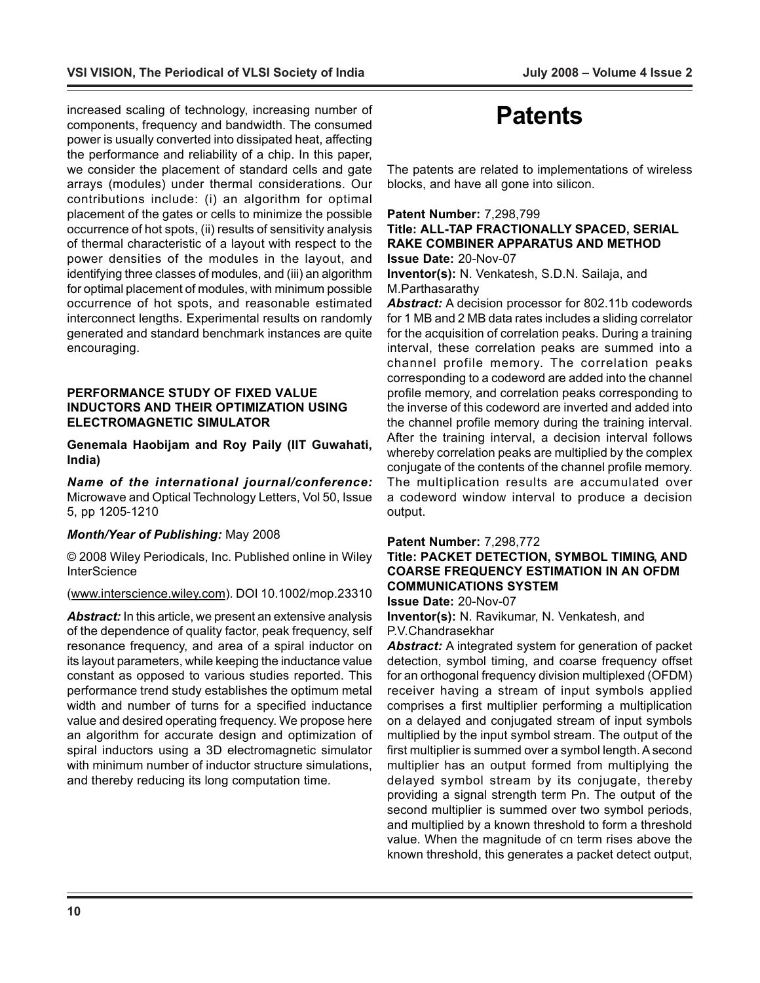increased scaling of technology, increasing number of components, frequency and bandwidth. The consumed power is usually converted into dissipated heat, affecting the performance and reliability of a chip. In this paper, we consider the placement of standard cells and gate arrays (modules) under thermal considerations. Our contributions include: (i) an algorithm for optimal placement of the gates or cells to minimize the possible occurrence of hot spots, (ii) results of sensitivity analysis of thermal characteristic of a layout with respect to the power densities of the modules in the layout, and identifying three classes of modules, and (iii) an algorithm for optimal placement of modules, with minimum possible occurrence of hot spots, and reasonable estimated interconnect lengths. Experimental results on randomly generated and standard benchmark instances are quite encouraging.

### **PERFORMANCE STUDY OF FIXED VALUE INDUCTORS AND THEIR OPTIMIZATION USING ELECTROMAGNETIC SIMULATOR**

**Genemala Haobijam and Roy Paily (IIT Guwahati, India)**

*Name of the international journal/conference:* Microwave and Optical Technology Letters, Vol 50, Issue 5, pp 1205-1210

### *Month/Year of Publishing:* May 2008

© 2008 Wiley Periodicals, Inc. Published online in Wiley **InterScience** 

#### (www.interscience.wiley.com). DOI 10.1002/mop.23310

*Abstract:* In this article, we present an extensive analysis of the dependence of quality factor, peak frequency, self resonance frequency, and area of a spiral inductor on its layout parameters, while keeping the inductance value constant as opposed to various studies reported. This performance trend study establishes the optimum metal width and number of turns for a specified inductance value and desired operating frequency. We propose here an algorithm for accurate design and optimization of spiral inductors using a 3D electromagnetic simulator with minimum number of inductor structure simulations, and thereby reducing its long computation time.

# **Patents**

The patents are related to implementations of wireless blocks, and have all gone into silicon.

### **Patent Number:** 7,298,799

#### **Title: ALL-TAP FRACTIONALLY SPACED, SERIAL RAKE COMBINER APPARATUS AND METHOD Issue Date:** 20-Nov-07

**Inventor(s):** N. Venkatesh, S.D.N. Sailaja, and M.Parthasarathy

*Abstract:* A decision processor for 802.11b codewords for 1 MB and 2 MB data rates includes a sliding correlator for the acquisition of correlation peaks. During a training interval, these correlation peaks are summed into a channel profile memory. The correlation peaks corresponding to a codeword are added into the channel profile memory, and correlation peaks corresponding to the inverse of this codeword are inverted and added into the channel profile memory during the training interval. After the training interval, a decision interval follows whereby correlation peaks are multiplied by the complex conjugate of the contents of the channel profile memory. The multiplication results are accumulated over a codeword window interval to produce a decision output.

# **Patent Number:** 7,298,772

**Title: PACKET DETECTION, SYMBOL TIMING, AND COARSE FREQUENCY ESTIMATION IN AN OFDM COMMUNICATIONS SYSTEM**

#### **Issue Date:** 20-Nov-07

**Inventor(s):** N. Ravikumar, N. Venkatesh, and P.V.Chandrasekhar

*Abstract:* A integrated system for generation of packet detection, symbol timing, and coarse frequency offset for an orthogonal frequency division multiplexed (OFDM) receiver having a stream of input symbols applied comprises a first multiplier performing a multiplication on a delayed and conjugated stream of input symbols multiplied by the input symbol stream. The output of the first multiplier is summed over a symbol length. A second multiplier has an output formed from multiplying the delayed symbol stream by its conjugate, thereby providing a signal strength term Pn. The output of the second multiplier is summed over two symbol periods, and multiplied by a known threshold to form a threshold value. When the magnitude of cn term rises above the known threshold, this generates a packet detect output,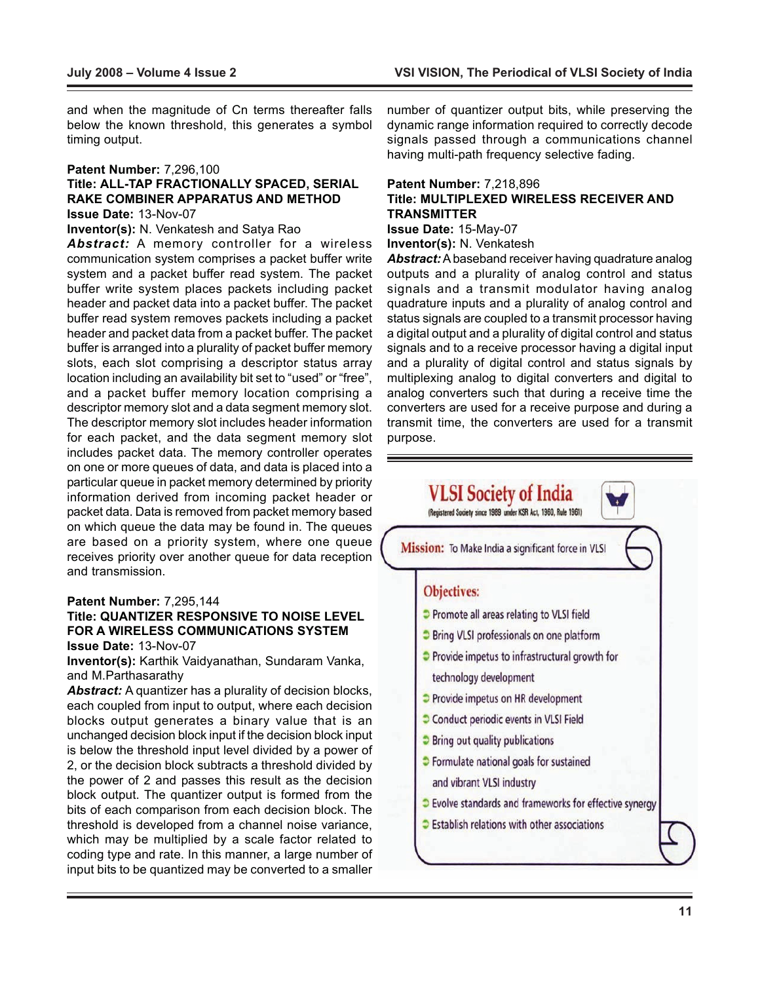and when the magnitude of Cn terms thereafter falls below the known threshold, this generates a symbol timing output.

#### **Patent Number:** 7,296,100 **Title: ALL-TAP FRACTIONALLY SPACED, SERIAL RAKE COMBINER APPARATUS AND METHOD Issue Date:** 13-Nov-07

**Inventor(s):** N. Venkatesh and Satya Rao

*Abstract:* A memory controller for a wireless communication system comprises a packet buffer write system and a packet buffer read system. The packet buffer write system places packets including packet header and packet data into a packet buffer. The packet buffer read system removes packets including a packet header and packet data from a packet buffer. The packet buffer is arranged into a plurality of packet buffer memory slots, each slot comprising a descriptor status array location including an availability bit set to "used" or "free", and a packet buffer memory location comprising a descriptor memory slot and a data segment memory slot. The descriptor memory slot includes header information for each packet, and the data segment memory slot includes packet data. The memory controller operates on one or more queues of data, and data is placed into a particular queue in packet memory determined by priority information derived from incoming packet header or packet data. Data is removed from packet memory based on which queue the data may be found in. The queues are based on a priority system, where one queue receives priority over another queue for data reception and transmission.

#### **Patent Number:** 7,295,144

# **Title: QUANTIZER RESPONSIVE TO NOISE LEVEL FOR A WIRELESS COMMUNICATIONS SYSTEM**

**Issue Date:** 13-Nov-07

**Inventor(s):** Karthik Vaidyanathan, Sundaram Vanka, and M.Parthasarathy

*Abstract:* A quantizer has a plurality of decision blocks, each coupled from input to output, where each decision blocks output generates a binary value that is an unchanged decision block input if the decision block input is below the threshold input level divided by a power of 2, or the decision block subtracts a threshold divided by the power of 2 and passes this result as the decision block output. The quantizer output is formed from the bits of each comparison from each decision block. The threshold is developed from a channel noise variance, which may be multiplied by a scale factor related to coding type and rate. In this manner, a large number of input bits to be quantized may be converted to a smaller

number of quantizer output bits, while preserving the dynamic range information required to correctly decode signals passed through a communications channel having multi-path frequency selective fading.

### **Patent Number:** 7,218,896 **Title: MULTIPLEXED WIRELESS RECEIVER AND TRANSMITTER**

**Issue Date:** 15-May-07 **Inventor(s):** N. Venkatesh

*Abstract:* A baseband receiver having quadrature analog outputs and a plurality of analog control and status signals and a transmit modulator having analog quadrature inputs and a plurality of analog control and status signals are coupled to a transmit processor having a digital output and a plurality of digital control and status signals and to a receive processor having a digital input and a plurality of digital control and status signals by multiplexing analog to digital converters and digital to analog converters such that during a receive time the converters are used for a receive purpose and during a transmit time, the converters are used for a transmit purpose.



**VLSI** Society of India (Registered Society since 1989 under KSR Act, 1960, Rule 1961)

Mission: To Make India a significant force in VLSI

### Objectives:

- Promote all areas relating to VLSI field
- Sing VLSI professionals on one platform
- Provide impetus to infrastructural growth for technology development
- Provide impetus on HR development
- Conduct periodic events in VLSI Field
- $\bullet$  Bring out quality publications
- S Formulate national goals for sustained and vibrant VLSI industry
- Similarly Evolve standards and frameworks for effective synergy
- $\bullet$  Establish relations with other associations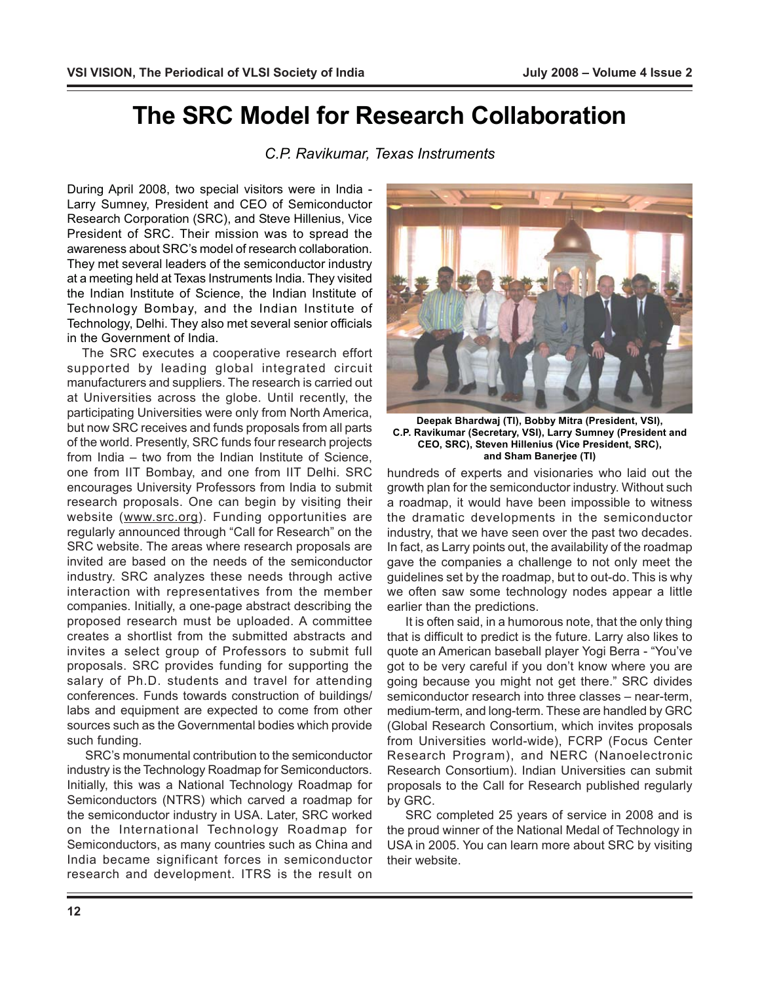# **The SRC Model for Research Collaboration**

*C.P. Ravikumar, Texas Instruments*

During April 2008, two special visitors were in India - Larry Sumney, President and CEO of Semiconductor Research Corporation (SRC), and Steve Hillenius, Vice President of SRC. Their mission was to spread the awareness about SRC's model of research collaboration. They met several leaders of the semiconductor industry at a meeting held at Texas Instruments India. They visited the Indian Institute of Science, the Indian Institute of Technology Bombay, and the Indian Institute of Technology, Delhi. They also met several senior officials in the Government of India.

The SRC executes a cooperative research effort supported by leading global integrated circuit manufacturers and suppliers. The research is carried out at Universities across the globe. Until recently, the participating Universities were only from North America, but now SRC receives and funds proposals from all parts of the world. Presently, SRC funds four research projects from India – two from the Indian Institute of Science, one from IIT Bombay, and one from IIT Delhi. SRC encourages University Professors from India to submit research proposals. One can begin by visiting their website (www.src.org). Funding opportunities are regularly announced through "Call for Research" on the SRC website. The areas where research proposals are invited are based on the needs of the semiconductor industry. SRC analyzes these needs through active interaction with representatives from the member companies. Initially, a one-page abstract describing the proposed research must be uploaded. A committee creates a shortlist from the submitted abstracts and invites a select group of Professors to submit full proposals. SRC provides funding for supporting the salary of Ph.D. students and travel for attending conferences. Funds towards construction of buildings/ labs and equipment are expected to come from other sources such as the Governmental bodies which provide such funding.

 SRC's monumental contribution to the semiconductor industry is the Technology Roadmap for Semiconductors. Initially, this was a National Technology Roadmap for Semiconductors (NTRS) which carved a roadmap for the semiconductor industry in USA. Later, SRC worked on the International Technology Roadmap for Semiconductors, as many countries such as China and India became significant forces in semiconductor research and development. ITRS is the result on



**Deepak Bhardwaj (TI), Bobby Mitra (President, VSI), C.P. Ravikumar (Secretary, VSI), Larry Sumney (President and CEO, SRC), Steven Hillenius (Vice President, SRC), and Sham Banerjee (TI)**

hundreds of experts and visionaries who laid out the growth plan for the semiconductor industry. Without such a roadmap, it would have been impossible to witness the dramatic developments in the semiconductor industry, that we have seen over the past two decades. In fact, as Larry points out, the availability of the roadmap gave the companies a challenge to not only meet the guidelines set by the roadmap, but to out-do. This is why we often saw some technology nodes appear a little earlier than the predictions.

 It is often said, in a humorous note, that the only thing that is difficult to predict is the future. Larry also likes to quote an American baseball player Yogi Berra - "You've got to be very careful if you don't know where you are going because you might not get there." SRC divides semiconductor research into three classes – near-term, medium-term, and long-term. These are handled by GRC (Global Research Consortium, which invites proposals from Universities world-wide), FCRP (Focus Center Research Program), and NERC (Nanoelectronic Research Consortium). Indian Universities can submit proposals to the Call for Research published regularly by GRC.

 SRC completed 25 years of service in 2008 and is the proud winner of the National Medal of Technology in USA in 2005. You can learn more about SRC by visiting their website.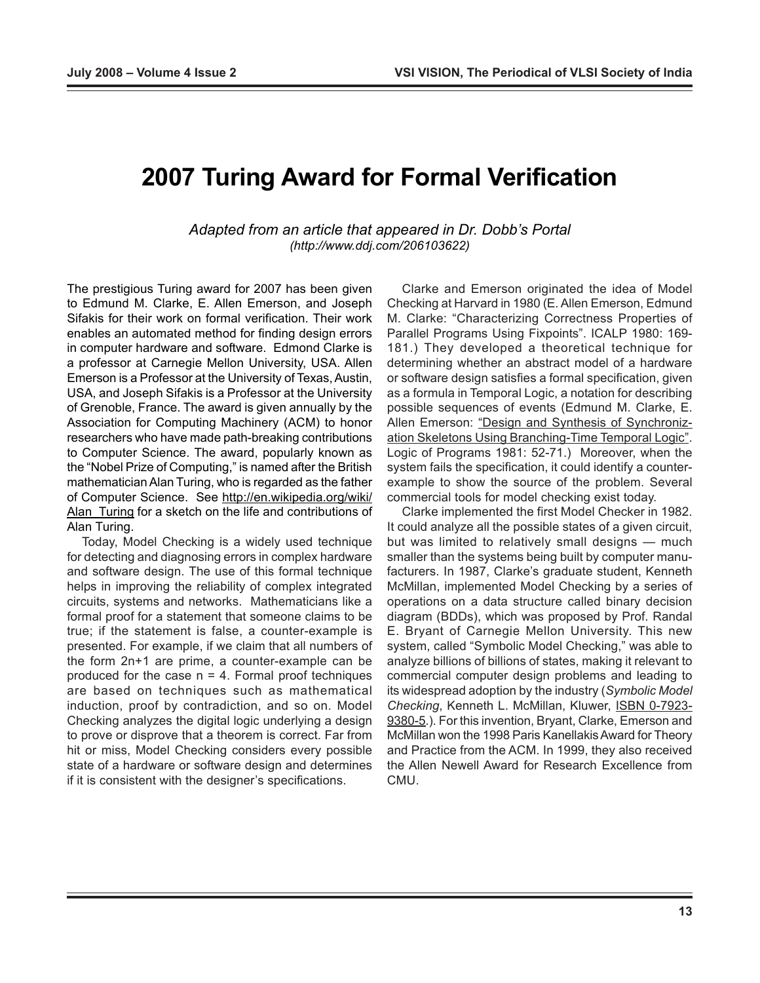# **2007 Turing Award for Formal Verification**

*Adapted from an article that appeared in Dr. Dobb's Portal (http://www.ddj.com/206103622)*

The prestigious Turing award for 2007 has been given to Edmund M. Clarke, E. Allen Emerson, and Joseph Sifakis for their work on formal verification. Their work enables an automated method for finding design errors in computer hardware and software. Edmond Clarke is a professor at Carnegie Mellon University, USA. Allen Emerson is a Professor at the University of Texas, Austin, USA, and Joseph Sifakis is a Professor at the University of Grenoble, France. The award is given annually by the Association for Computing Machinery (ACM) to honor researchers who have made path-breaking contributions to Computer Science. The award, popularly known as the "Nobel Prize of Computing," is named after the British mathematician Alan Turing, who is regarded as the father of Computer Science. See http://en.wikipedia.org/wiki/ Alan\_Turing for a sketch on the life and contributions of Alan Turing.

Today, Model Checking is a widely used technique for detecting and diagnosing errors in complex hardware and software design. The use of this formal technique helps in improving the reliability of complex integrated circuits, systems and networks. Mathematicians like a formal proof for a statement that someone claims to be true; if the statement is false, a counter-example is presented. For example, if we claim that all numbers of the form 2n+1 are prime, a counter-example can be produced for the case  $n = 4$ . Formal proof techniques are based on techniques such as mathematical induction, proof by contradiction, and so on. Model Checking analyzes the digital logic underlying a design to prove or disprove that a theorem is correct. Far from hit or miss, Model Checking considers every possible state of a hardware or software design and determines if it is consistent with the designer's specifications.

Clarke and Emerson originated the idea of Model Checking at Harvard in 1980 (E. Allen Emerson, Edmund M. Clarke: "Characterizing Correctness Properties of Parallel Programs Using Fixpoints". ICALP 1980: 169- 181.) They developed a theoretical technique for determining whether an abstract model of a hardware or software design satisfies a formal specification, given as a formula in Temporal Logic, a notation for describing possible sequences of events (Edmund M. Clarke, E. Allen Emerson: "Design and Synthesis of Synchronization Skeletons Using Branching-Time Temporal Logic". Logic of Programs 1981: 52-71.) Moreover, when the system fails the specification, it could identify a counterexample to show the source of the problem. Several commercial tools for model checking exist today.

Clarke implemented the first Model Checker in 1982. It could analyze all the possible states of a given circuit, but was limited to relatively small designs — much smaller than the systems being built by computer manufacturers. In 1987, Clarke's graduate student, Kenneth McMillan, implemented Model Checking by a series of operations on a data structure called binary decision diagram (BDDs), which was proposed by Prof. Randal E. Bryant of Carnegie Mellon University. This new system, called "Symbolic Model Checking," was able to analyze billions of billions of states, making it relevant to commercial computer design problems and leading to its widespread adoption by the industry (*Symbolic Model Checking*, Kenneth L. McMillan, Kluwer, ISBN 0-7923- 9380-5.). For this invention, Bryant, Clarke, Emerson and McMillan won the 1998 Paris Kanellakis Award for Theory and Practice from the ACM. In 1999, they also received the Allen Newell Award for Research Excellence from CMU.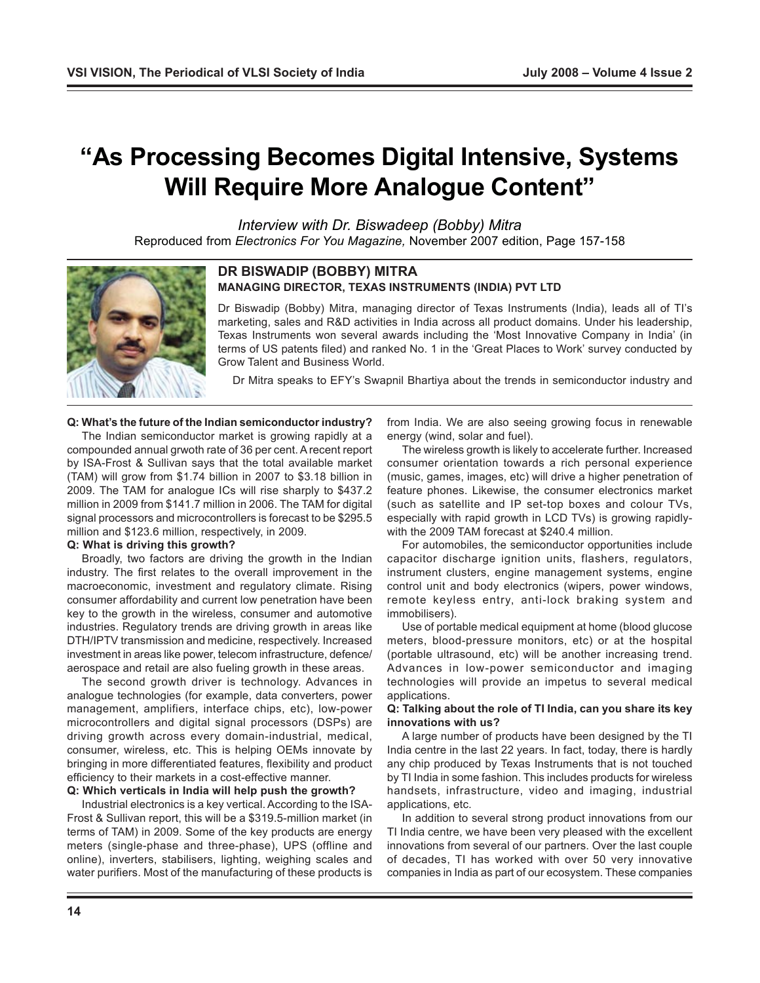# **"As Processing Becomes Digital Intensive, Systems Will Require More Analogue Content"**

*Interview with Dr. Biswadeep (Bobby) Mitra* Reproduced from *Electronics For You Magazine,* November 2007 edition, Page 157-158



### **DR BISWADIP (BOBBY) MITRA MANAGING DIRECTOR, TEXAS INSTRUMENTS (INDIA) PVT LTD**

Dr Biswadip (Bobby) Mitra, managing director of Texas Instruments (India), leads all of TI's marketing, sales and R&D activities in India across all product domains. Under his leadership, Texas Instruments won several awards including the 'Most Innovative Company in India' (in terms of US patents filed) and ranked No. 1 in the 'Great Places to Work' survey conducted by Grow Talent and Business World.

Dr Mitra speaks to EFY's Swapnil Bhartiya about the trends in semiconductor industry and

**Q: What's the future of the Indian semiconductor industry?**

The Indian semiconductor market is growing rapidly at a compounded annual grwoth rate of 36 per cent. A recent report by ISA-Frost & Sullivan says that the total available market (TAM) will grow from \$1.74 billion in 2007 to \$3.18 billion in 2009. The TAM for analogue ICs will rise sharply to \$437.2 million in 2009 from \$141.7 million in 2006. The TAM for digital signal processors and microcontrollers is forecast to be \$295.5 million and \$123.6 million, respectively, in 2009.

#### **Q: What is driving this growth?**

Broadly, two factors are driving the growth in the Indian industry. The first relates to the overall improvement in the macroeconomic, investment and regulatory climate. Rising consumer affordability and current low penetration have been key to the growth in the wireless, consumer and automotive industries. Regulatory trends are driving growth in areas like DTH/IPTV transmission and medicine, respectively. Increased investment in areas like power, telecom infrastructure, defence/ aerospace and retail are also fueling growth in these areas.

The second growth driver is technology. Advances in analogue technologies (for example, data converters, power management, amplifiers, interface chips, etc), low-power microcontrollers and digital signal processors (DSPs) are driving growth across every domain-industrial, medical, consumer, wireless, etc. This is helping OEMs innovate by bringing in more differentiated features, flexibility and product efficiency to their markets in a cost-effective manner.

#### **Q: Which verticals in India will help push the growth?**

Industrial electronics is a key vertical. According to the ISA-Frost & Sullivan report, this will be a \$319.5-million market (in terms of TAM) in 2009. Some of the key products are energy meters (single-phase and three-phase), UPS (offline and online), inverters, stabilisers, lighting, weighing scales and water purifiers. Most of the manufacturing of these products is

from India. We are also seeing growing focus in renewable energy (wind, solar and fuel).

The wireless growth is likely to accelerate further. Increased consumer orientation towards a rich personal experience (music, games, images, etc) will drive a higher penetration of feature phones. Likewise, the consumer electronics market (such as satellite and IP set-top boxes and colour TVs, especially with rapid growth in LCD TVs) is growing rapidlywith the 2009 TAM forecast at \$240.4 million.

For automobiles, the semiconductor opportunities include capacitor discharge ignition units, flashers, regulators, instrument clusters, engine management systems, engine control unit and body electronics (wipers, power windows, remote keyless entry, anti-lock braking system and immobilisers).

Use of portable medical equipment at home (blood glucose meters, blood-pressure monitors, etc) or at the hospital (portable ultrasound, etc) will be another increasing trend. Advances in low-power semiconductor and imaging technologies will provide an impetus to several medical applications.

#### **Q: Talking about the role of TI India, can you share its key innovations with us?**

A large number of products have been designed by the TI India centre in the last 22 years. In fact, today, there is hardly any chip produced by Texas Instruments that is not touched by TI India in some fashion. This includes products for wireless handsets, infrastructure, video and imaging, industrial applications, etc.

In addition to several strong product innovations from our TI India centre, we have been very pleased with the excellent innovations from several of our partners. Over the last couple of decades, TI has worked with over 50 very innovative companies in India as part of our ecosystem. These companies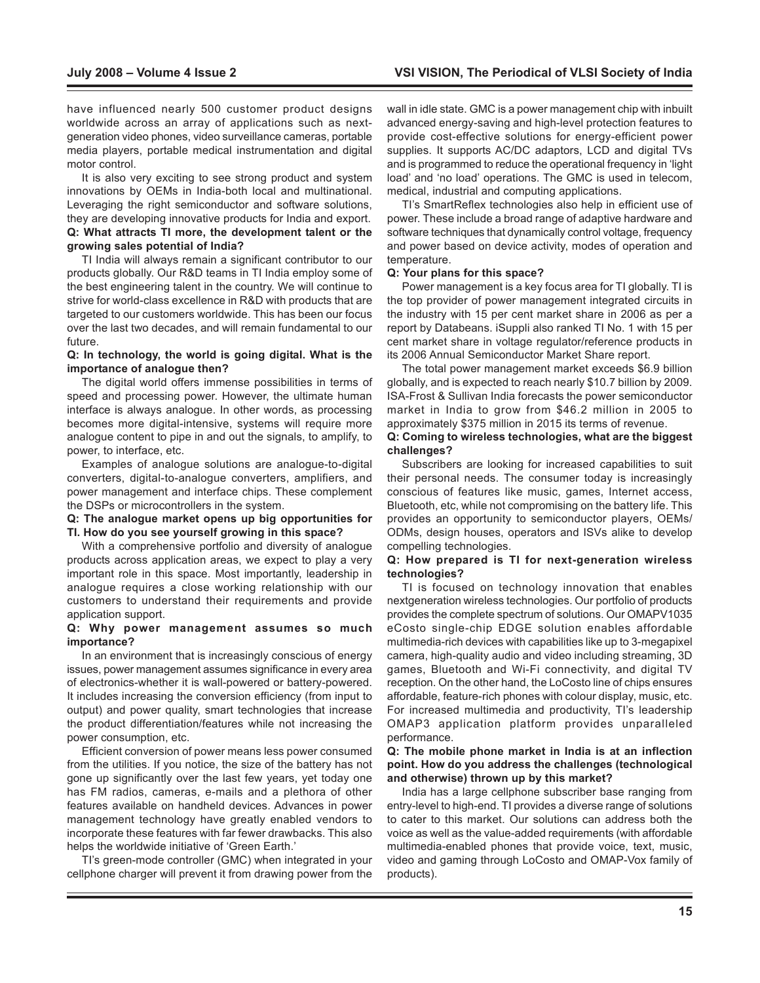have influenced nearly 500 customer product designs worldwide across an array of applications such as nextgeneration video phones, video surveillance cameras, portable media players, portable medical instrumentation and digital motor control.

It is also very exciting to see strong product and system innovations by OEMs in India-both local and multinational. Leveraging the right semiconductor and software solutions, they are developing innovative products for India and export. **Q: What attracts TI more, the development talent or the growing sales potential of India?**

TI India will always remain a significant contributor to our products globally. Our R&D teams in TI India employ some of the best engineering talent in the country. We will continue to strive for world-class excellence in R&D with products that are targeted to our customers worldwide. This has been our focus over the last two decades, and will remain fundamental to our future.

#### **Q: In technology, the world is going digital. What is the importance of analogue then?**

The digital world offers immense possibilities in terms of speed and processing power. However, the ultimate human interface is always analogue. In other words, as processing becomes more digital-intensive, systems will require more analogue content to pipe in and out the signals, to amplify, to power, to interface, etc.

Examples of analogue solutions are analogue-to-digital converters, digital-to-analogue converters, amplifiers, and power management and interface chips. These complement the DSPs or microcontrollers in the system.

#### **Q: The analogue market opens up big opportunities for TI. How do you see yourself growing in this space?**

With a comprehensive portfolio and diversity of analogue products across application areas, we expect to play a very important role in this space. Most importantly, leadership in analogue requires a close working relationship with our customers to understand their requirements and provide application support.

#### **Q: Why power management assumes so much importance?**

In an environment that is increasingly conscious of energy issues, power management assumes significance in every area of electronics-whether it is wall-powered or battery-powered. It includes increasing the conversion efficiency (from input to output) and power quality, smart technologies that increase the product differentiation/features while not increasing the power consumption, etc.

Efficient conversion of power means less power consumed from the utilities. If you notice, the size of the battery has not gone up significantly over the last few years, yet today one has FM radios, cameras, e-mails and a plethora of other features available on handheld devices. Advances in power management technology have greatly enabled vendors to incorporate these features with far fewer drawbacks. This also helps the worldwide initiative of 'Green Earth.'

TI's green-mode controller (GMC) when integrated in your cellphone charger will prevent it from drawing power from the wall in idle state. GMC is a power management chip with inbuilt advanced energy-saving and high-level protection features to provide cost-effective solutions for energy-efficient power supplies. It supports AC/DC adaptors, LCD and digital TVs and is programmed to reduce the operational frequency in 'light load' and 'no load' operations. The GMC is used in telecom, medical, industrial and computing applications.

TI's SmartReflex technologies also help in efficient use of power. These include a broad range of adaptive hardware and software techniques that dynamically control voltage, frequency and power based on device activity, modes of operation and temperature.

#### **Q: Your plans for this space?**

Power management is a key focus area for TI globally. TI is the top provider of power management integrated circuits in the industry with 15 per cent market share in 2006 as per a report by Databeans. iSuppli also ranked TI No. 1 with 15 per cent market share in voltage regulator/reference products in its 2006 Annual Semiconductor Market Share report.

The total power management market exceeds \$6.9 billion globally, and is expected to reach nearly \$10.7 billion by 2009. ISA-Frost & Sullivan India forecasts the power semiconductor market in India to grow from \$46.2 million in 2005 to approximately \$375 million in 2015 its terms of revenue.

#### **Q: Coming to wireless technologies, what are the biggest challenges?**

Subscribers are looking for increased capabilities to suit their personal needs. The consumer today is increasingly conscious of features like music, games, Internet access, Bluetooth, etc, while not compromising on the battery life. This provides an opportunity to semiconductor players, OEMs/ ODMs, design houses, operators and ISVs alike to develop compelling technologies.

#### **Q: How prepared is TI for next-generation wireless technologies?**

TI is focused on technology innovation that enables nextgeneration wireless technologies. Our portfolio of products provides the complete spectrum of solutions. Our OMAPV1035 eCosto single-chip EDGE solution enables affordable multimedia-rich devices with capabilities like up to 3-megapixel camera, high-quality audio and video including streaming, 3D games, Bluetooth and Wi-Fi connectivity, and digital TV reception. On the other hand, the LoCosto line of chips ensures affordable, feature-rich phones with colour display, music, etc. For increased multimedia and productivity, TI's leadership OMAP3 application platform provides unparalleled performance.

#### **Q: The mobile phone market in India is at an inflection point. How do you address the challenges (technological and otherwise) thrown up by this market?**

India has a large cellphone subscriber base ranging from entry-level to high-end. TI provides a diverse range of solutions to cater to this market. Our solutions can address both the voice as well as the value-added requirements (with affordable multimedia-enabled phones that provide voice, text, music, video and gaming through LoCosto and OMAP-Vox family of products).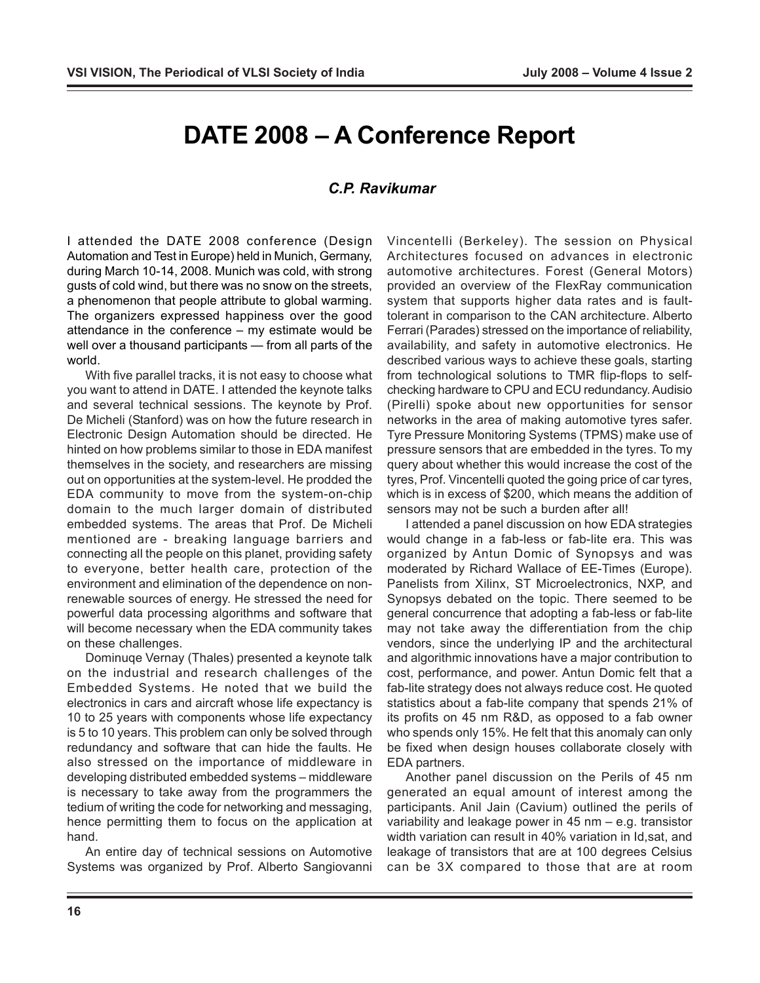# **DATE 2008 – A Conference Report**

## *C.P. Ravikumar*

I attended the DATE 2008 conference (Design Automation and Test in Europe) held in Munich, Germany, during March 10-14, 2008. Munich was cold, with strong gusts of cold wind, but there was no snow on the streets, a phenomenon that people attribute to global warming. The organizers expressed happiness over the good attendance in the conference – my estimate would be well over a thousand participants — from all parts of the world.

 With five parallel tracks, it is not easy to choose what you want to attend in DATE. I attended the keynote talks and several technical sessions. The keynote by Prof. De Micheli (Stanford) was on how the future research in Electronic Design Automation should be directed. He hinted on how problems similar to those in EDA manifest themselves in the society, and researchers are missing out on opportunities at the system-level. He prodded the EDA community to move from the system-on-chip domain to the much larger domain of distributed embedded systems. The areas that Prof. De Micheli mentioned are - breaking language barriers and connecting all the people on this planet, providing safety to everyone, better health care, protection of the environment and elimination of the dependence on nonrenewable sources of energy. He stressed the need for powerful data processing algorithms and software that will become necessary when the EDA community takes on these challenges.

 Dominuqe Vernay (Thales) presented a keynote talk on the industrial and research challenges of the Embedded Systems. He noted that we build the electronics in cars and aircraft whose life expectancy is 10 to 25 years with components whose life expectancy is 5 to 10 years. This problem can only be solved through redundancy and software that can hide the faults. He also stressed on the importance of middleware in developing distributed embedded systems – middleware is necessary to take away from the programmers the tedium of writing the code for networking and messaging, hence permitting them to focus on the application at hand.

 An entire day of technical sessions on Automotive Systems was organized by Prof. Alberto Sangiovanni Vincentelli (Berkeley). The session on Physical Architectures focused on advances in electronic automotive architectures. Forest (General Motors) provided an overview of the FlexRay communication system that supports higher data rates and is faulttolerant in comparison to the CAN architecture. Alberto Ferrari (Parades) stressed on the importance of reliability, availability, and safety in automotive electronics. He described various ways to achieve these goals, starting from technological solutions to TMR flip-flops to selfchecking hardware to CPU and ECU redundancy. Audisio (Pirelli) spoke about new opportunities for sensor networks in the area of making automotive tyres safer. Tyre Pressure Monitoring Systems (TPMS) make use of pressure sensors that are embedded in the tyres. To my query about whether this would increase the cost of the tyres, Prof. Vincentelli quoted the going price of car tyres, which is in excess of \$200, which means the addition of sensors may not be such a burden after all!

 I attended a panel discussion on how EDA strategies would change in a fab-less or fab-lite era. This was organized by Antun Domic of Synopsys and was moderated by Richard Wallace of EE-Times (Europe). Panelists from Xilinx, ST Microelectronics, NXP, and Synopsys debated on the topic. There seemed to be general concurrence that adopting a fab-less or fab-lite may not take away the differentiation from the chip vendors, since the underlying IP and the architectural and algorithmic innovations have a major contribution to cost, performance, and power. Antun Domic felt that a fab-lite strategy does not always reduce cost. He quoted statistics about a fab-lite company that spends 21% of its profits on 45 nm R&D, as opposed to a fab owner who spends only 15%. He felt that this anomaly can only be fixed when design houses collaborate closely with EDA partners.

 Another panel discussion on the Perils of 45 nm generated an equal amount of interest among the participants. Anil Jain (Cavium) outlined the perils of variability and leakage power in 45 nm – e.g. transistor width variation can result in 40% variation in Id,sat, and leakage of transistors that are at 100 degrees Celsius can be 3X compared to those that are at room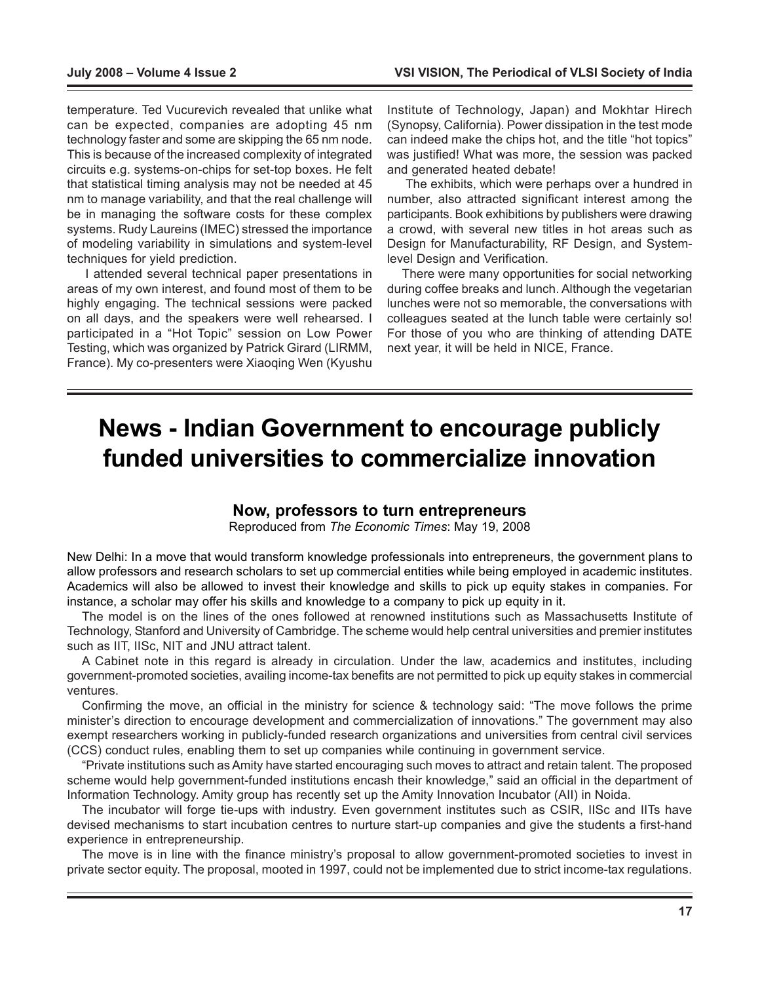temperature. Ted Vucurevich revealed that unlike what can be expected, companies are adopting 45 nm technology faster and some are skipping the 65 nm node. This is because of the increased complexity of integrated circuits e.g. systems-on-chips for set-top boxes. He felt that statistical timing analysis may not be needed at 45 nm to manage variability, and that the real challenge will be in managing the software costs for these complex systems. Rudy Laureins (IMEC) stressed the importance of modeling variability in simulations and system-level techniques for yield prediction.

 I attended several technical paper presentations in areas of my own interest, and found most of them to be highly engaging. The technical sessions were packed on all days, and the speakers were well rehearsed. I participated in a "Hot Topic" session on Low Power Testing, which was organized by Patrick Girard (LIRMM, France). My co-presenters were Xiaoqing Wen (Kyushu

Institute of Technology, Japan) and Mokhtar Hirech (Synopsy, California). Power dissipation in the test mode can indeed make the chips hot, and the title "hot topics" was justified! What was more, the session was packed and generated heated debate!

 The exhibits, which were perhaps over a hundred in number, also attracted significant interest among the participants. Book exhibitions by publishers were drawing a crowd, with several new titles in hot areas such as Design for Manufacturability, RF Design, and Systemlevel Design and Verification.

There were many opportunities for social networking during coffee breaks and lunch. Although the vegetarian lunches were not so memorable, the conversations with colleagues seated at the lunch table were certainly so! For those of you who are thinking of attending DATE next year, it will be held in NICE, France.

# **News - Indian Government to encourage publicly funded universities to commercialize innovation**

### **Now, professors to turn entrepreneurs**

Reproduced from *The Economic Times*: May 19, 2008

New Delhi: In a move that would transform knowledge professionals into entrepreneurs, the government plans to allow professors and research scholars to set up commercial entities while being employed in academic institutes. Academics will also be allowed to invest their knowledge and skills to pick up equity stakes in companies. For instance, a scholar may offer his skills and knowledge to a company to pick up equity in it.

The model is on the lines of the ones followed at renowned institutions such as Massachusetts Institute of Technology, Stanford and University of Cambridge. The scheme would help central universities and premier institutes such as IIT, IISc, NIT and JNU attract talent.

A Cabinet note in this regard is already in circulation. Under the law, academics and institutes, including government-promoted societies, availing income-tax benefits are not permitted to pick up equity stakes in commercial ventures.

Confirming the move, an official in the ministry for science & technology said: "The move follows the prime minister's direction to encourage development and commercialization of innovations." The government may also exempt researchers working in publicly-funded research organizations and universities from central civil services (CCS) conduct rules, enabling them to set up companies while continuing in government service.

"Private institutions such as Amity have started encouraging such moves to attract and retain talent. The proposed scheme would help government-funded institutions encash their knowledge," said an official in the department of Information Technology. Amity group has recently set up the Amity Innovation Incubator (AII) in Noida.

The incubator will forge tie-ups with industry. Even government institutes such as CSIR, IISc and IITs have devised mechanisms to start incubation centres to nurture start-up companies and give the students a first-hand experience in entrepreneurship.

The move is in line with the finance ministry's proposal to allow government-promoted societies to invest in private sector equity. The proposal, mooted in 1997, could not be implemented due to strict income-tax regulations.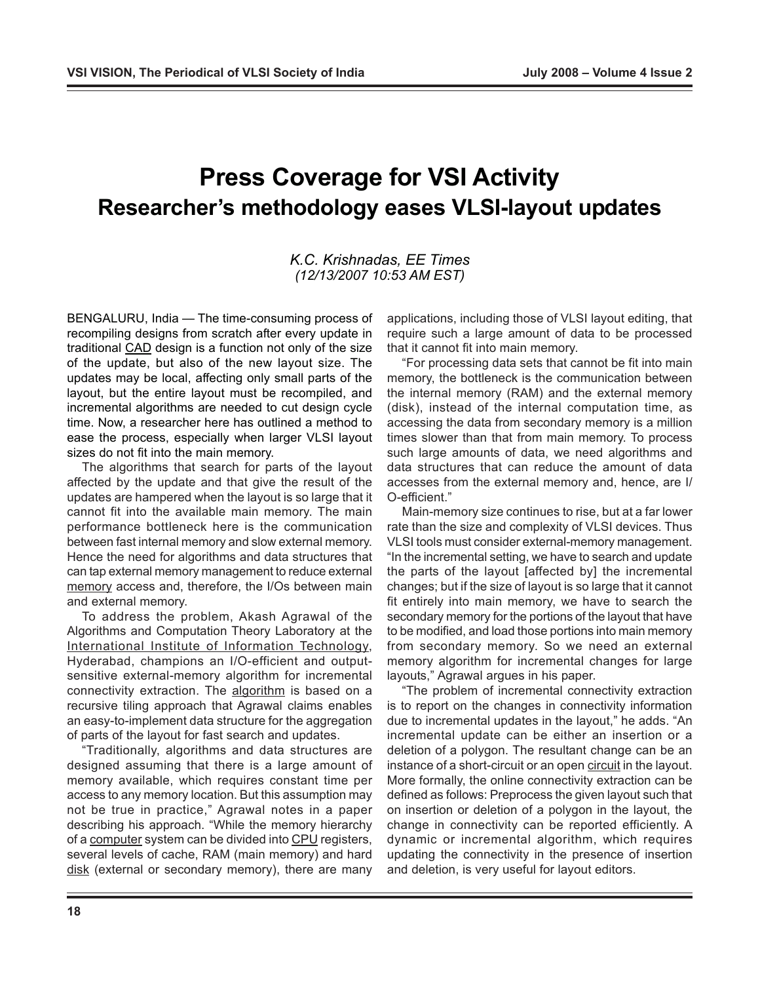# **Press Coverage for VSI Activity Researcher's methodology eases VLSI-layout updates**

### *K.C. Krishnadas, EE Times (12/13/2007 10:53 AM EST)*

BENGALURU, India — The time-consuming process of recompiling designs from scratch after every update in traditional CAD design is a function not only of the size of the update, but also of the new layout size. The updates may be local, affecting only small parts of the layout, but the entire layout must be recompiled, and incremental algorithms are needed to cut design cycle time. Now, a researcher here has outlined a method to ease the process, especially when larger VLSI layout sizes do not fit into the main memory.

The algorithms that search for parts of the layout affected by the update and that give the result of the updates are hampered when the layout is so large that it cannot fit into the available main memory. The main performance bottleneck here is the communication between fast internal memory and slow external memory. Hence the need for algorithms and data structures that can tap external memory management to reduce external memory access and, therefore, the I/Os between main and external memory.

To address the problem, Akash Agrawal of the Algorithms and Computation Theory Laboratory at the International Institute of Information Technology, Hyderabad, champions an I/O-efficient and outputsensitive external-memory algorithm for incremental connectivity extraction. The algorithm is based on a recursive tiling approach that Agrawal claims enables an easy-to-implement data structure for the aggregation of parts of the layout for fast search and updates.

"Traditionally, algorithms and data structures are designed assuming that there is a large amount of memory available, which requires constant time per access to any memory location. But this assumption may not be true in practice," Agrawal notes in a paper describing his approach. "While the memory hierarchy of a computer system can be divided into CPU registers, several levels of cache, RAM (main memory) and hard disk (external or secondary memory), there are many

applications, including those of VLSI layout editing, that require such a large amount of data to be processed that it cannot fit into main memory.

"For processing data sets that cannot be fit into main memory, the bottleneck is the communication between the internal memory (RAM) and the external memory (disk), instead of the internal computation time, as accessing the data from secondary memory is a million times slower than that from main memory. To process such large amounts of data, we need algorithms and data structures that can reduce the amount of data accesses from the external memory and, hence, are I/ O-efficient."

Main-memory size continues to rise, but at a far lower rate than the size and complexity of VLSI devices. Thus VLSI tools must consider external-memory management. "In the incremental setting, we have to search and update the parts of the layout [affected by] the incremental changes; but if the size of layout is so large that it cannot fit entirely into main memory, we have to search the secondary memory for the portions of the layout that have to be modified, and load those portions into main memory from secondary memory. So we need an external memory algorithm for incremental changes for large layouts," Agrawal argues in his paper.

"The problem of incremental connectivity extraction is to report on the changes in connectivity information due to incremental updates in the layout," he adds. "An incremental update can be either an insertion or a deletion of a polygon. The resultant change can be an instance of a short-circuit or an open circuit in the layout. More formally, the online connectivity extraction can be defined as follows: Preprocess the given layout such that on insertion or deletion of a polygon in the layout, the change in connectivity can be reported efficiently. A dynamic or incremental algorithm, which requires updating the connectivity in the presence of insertion and deletion, is very useful for layout editors.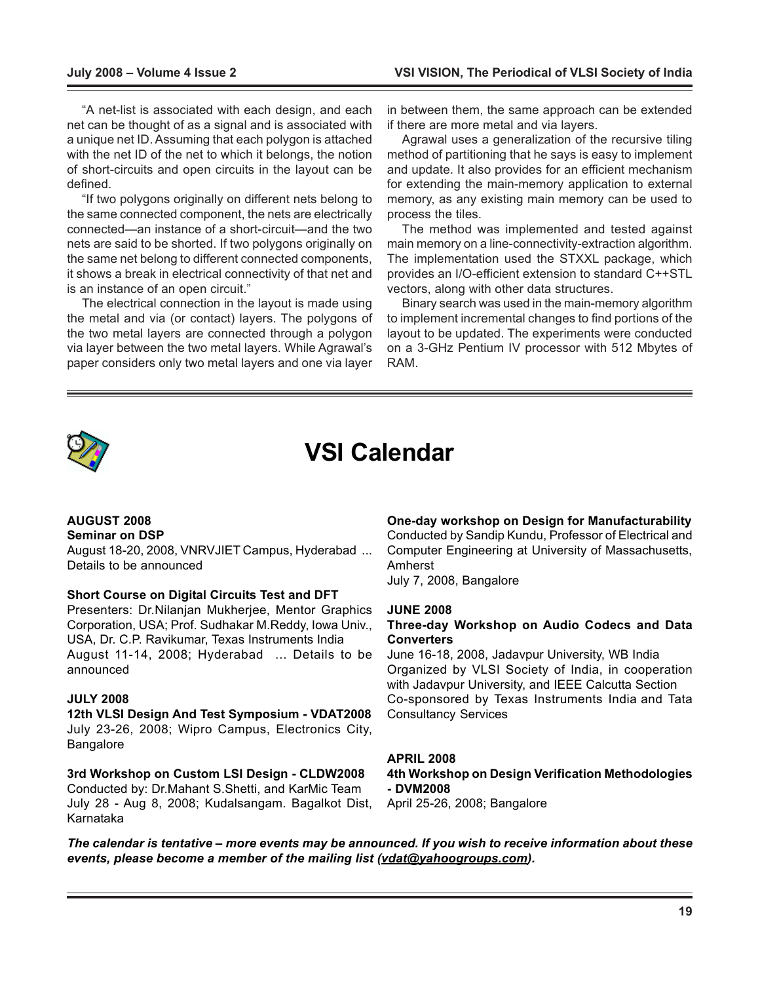"A net-list is associated with each design, and each net can be thought of as a signal and is associated with a unique net ID. Assuming that each polygon is attached with the net ID of the net to which it belongs, the notion of short-circuits and open circuits in the layout can be defined.

"If two polygons originally on different nets belong to the same connected component, the nets are electrically connected—an instance of a short-circuit—and the two nets are said to be shorted. If two polygons originally on the same net belong to different connected components, it shows a break in electrical connectivity of that net and is an instance of an open circuit."

The electrical connection in the layout is made using the metal and via (or contact) layers. The polygons of the two metal layers are connected through a polygon via layer between the two metal layers. While Agrawal's paper considers only two metal layers and one via layer

in between them, the same approach can be extended if there are more metal and via layers.

Agrawal uses a generalization of the recursive tiling method of partitioning that he says is easy to implement and update. It also provides for an efficient mechanism for extending the main-memory application to external memory, as any existing main memory can be used to process the tiles.

The method was implemented and tested against main memory on a line-connectivity-extraction algorithm. The implementation used the STXXL package, which provides an I/O-efficient extension to standard C++STL vectors, along with other data structures.

Binary search was used in the main-memory algorithm to implement incremental changes to find portions of the layout to be updated. The experiments were conducted on a 3-GHz Pentium IV processor with 512 Mbytes of RAM.



# **VSI Calendar**

#### **AUGUST 2008 Seminar on DSP**

August 18-20, 2008, VNRVJIET Campus, Hyderabad ... Details to be announced

### **Short Course on Digital Circuits Test and DFT**

Presenters: Dr.Nilanjan Mukherjee, Mentor Graphics Corporation, USA; Prof. Sudhakar M.Reddy, Iowa Univ., USA, Dr. C.P. Ravikumar, Texas Instruments India August 11-14, 2008; Hyderabad ... Details to be announced

#### **JULY 2008**

**12th VLSI Design And Test Symposium - VDAT2008** July 23-26, 2008; Wipro Campus, Electronics City, Bangalore

**3rd Workshop on Custom LSI Design - CLDW2008** Conducted by: Dr.Mahant S.Shetti, and KarMic Team July 28 - Aug 8, 2008; Kudalsangam. Bagalkot Dist, Karnataka

#### **One-day workshop on Design for Manufacturability**

Conducted by Sandip Kundu, Professor of Electrical and Computer Engineering at University of Massachusetts, Amherst

July 7, 2008, Bangalore

#### **JUNE 2008**

#### **Three-day Workshop on Audio Codecs and Data Converters**

June 16-18, 2008, Jadavpur University, WB India Organized by VLSI Society of India, in cooperation with Jadavpur University, and IEEE Calcutta Section Co-sponsored by Texas Instruments India and Tata Consultancy Services

#### **APRIL 2008**

**4th Workshop on Design Verification Methodologies - DVM2008**

April 25-26, 2008; Bangalore

*The calendar is tentative – more events may be announced. If you wish to receive information about these events, please become a member of the mailing list (vdat@yahoogroups.com).*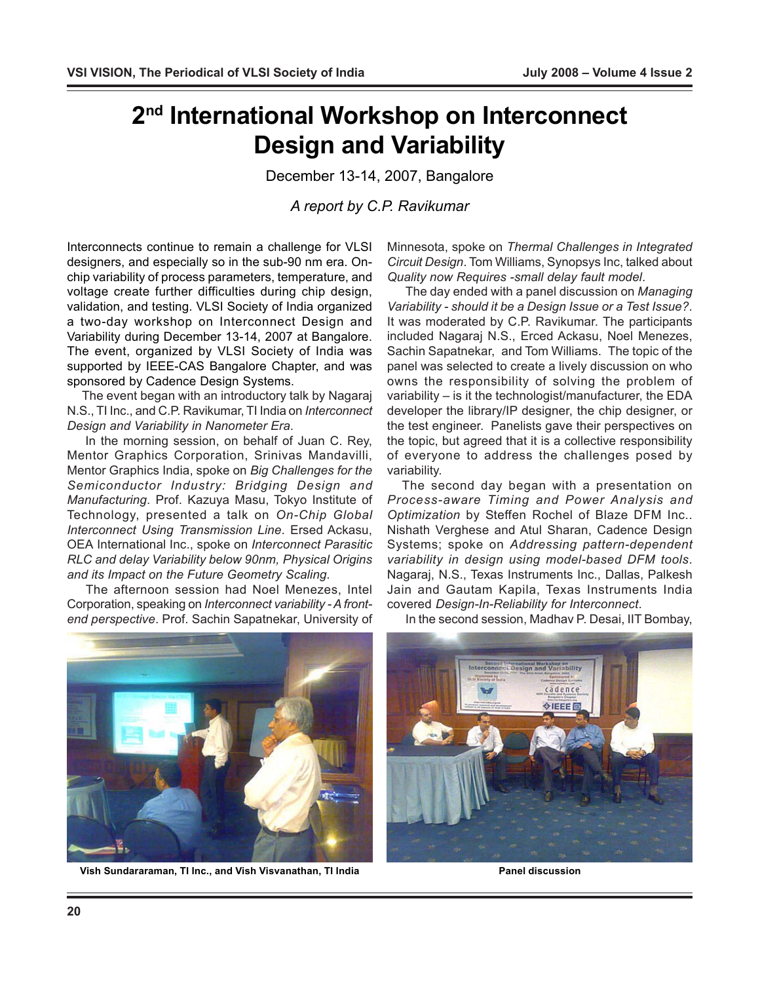# **2nd International Workshop on Interconnect Design and Variability**

December 13-14, 2007, Bangalore

*A report by C.P. Ravikumar*

Interconnects continue to remain a challenge for VLSI designers, and especially so in the sub-90 nm era. Onchip variability of process parameters, temperature, and voltage create further difficulties during chip design, validation, and testing. VLSI Society of India organized a two-day workshop on Interconnect Design and Variability during December 13-14, 2007 at Bangalore. The event, organized by VLSI Society of India was supported by IEEE-CAS Bangalore Chapter, and was sponsored by Cadence Design Systems.

The event began with an introductory talk by Nagaraj N.S., TI Inc., and C.P. Ravikumar, TI India on *Interconnect Design and Variability in Nanometer Era*.

 In the morning session, on behalf of Juan C. Rey, Mentor Graphics Corporation, Srinivas Mandavilli, Mentor Graphics India, spoke on *Big Challenges for the Semiconductor Industry: Bridging Design and Manufacturing*. Prof. Kazuya Masu, Tokyo Institute of Technology, presented a talk on *On-Chip Global Interconnect Using Transmission Line*. Ersed Ackasu, OEA International Inc., spoke on *Interconnect Parasitic RLC and delay Variability below 90nm, Physical Origins and its Impact on the Future Geometry Scaling*.

 The afternoon session had Noel Menezes, Intel Corporation, speaking on *Interconnect variability - A frontend perspective*. Prof. Sachin Sapatnekar, University of Minnesota, spoke on *Thermal Challenges in Integrated Circuit Design*. Tom Williams, Synopsys Inc, talked about *Quality now Requires -small delay fault model*.

 The day ended with a panel discussion on *Managing Variability - should it be a Design Issue or a Test Issue?*. It was moderated by C.P. Ravikumar. The participants included Nagaraj N.S., Erced Ackasu, Noel Menezes, Sachin Sapatnekar, and Tom Williams. The topic of the panel was selected to create a lively discussion on who owns the responsibility of solving the problem of variability – is it the technologist/manufacturer, the EDA developer the library/IP designer, the chip designer, or the test engineer. Panelists gave their perspectives on the topic, but agreed that it is a collective responsibility of everyone to address the challenges posed by variability.

The second day began with a presentation on *Process-aware Timing and Power Analysis and Optimization* by Steffen Rochel of Blaze DFM Inc.. Nishath Verghese and Atul Sharan, Cadence Design Systems; spoke on *Addressing pattern-dependent variability in design using model-based DFM tools*. Nagaraj, N.S., Texas Instruments Inc., Dallas, Palkesh Jain and Gautam Kapila, Texas Instruments India covered *Design-In-Reliability for Interconnect*.



**Vish Sundararaman, TI Inc., and Vish Visvanathan, TI India Panel discussion**

In the second session, Madhav P. Desai, IIT Bombay,

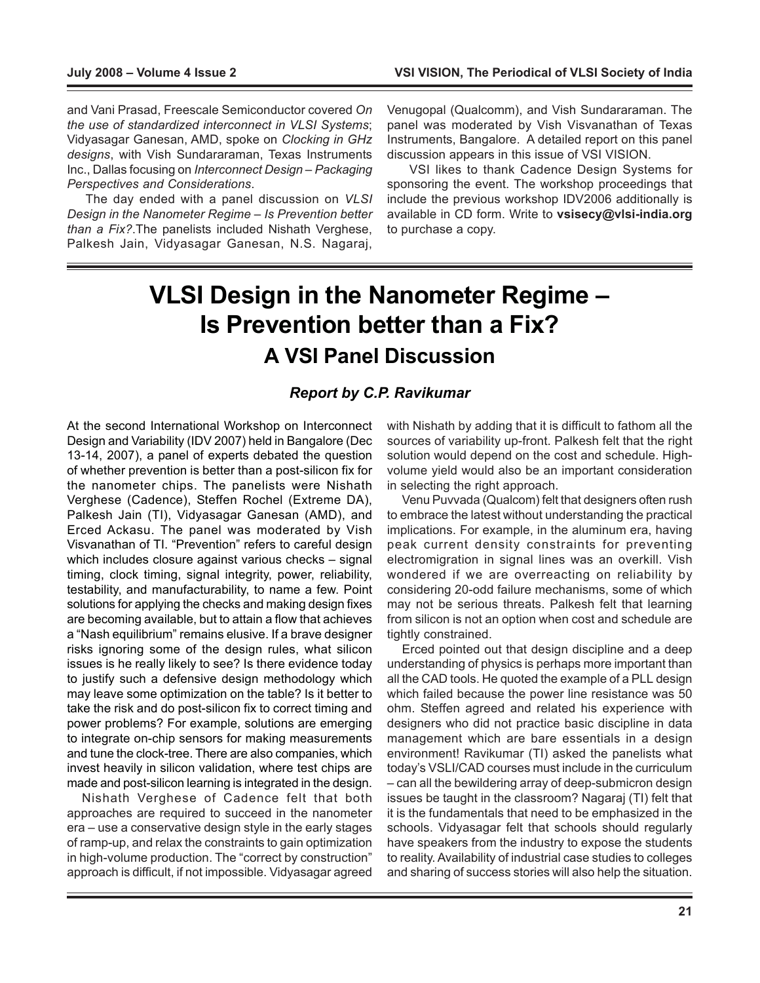and Vani Prasad, Freescale Semiconductor covered *On the use of standardized interconnect in VLSI Systems*; Vidyasagar Ganesan, AMD, spoke on *Clocking in GHz designs*, with Vish Sundararaman, Texas Instruments Inc., Dallas focusing on *Interconnect Design – Packaging Perspectives and Considerations*.

 The day ended with a panel discussion on *VLSI Design in the Nanometer Regime – Is Prevention better than a Fix?*.The panelists included Nishath Verghese, Palkesh Jain, Vidyasagar Ganesan, N.S. Nagaraj,

Venugopal (Qualcomm), and Vish Sundararaman. The panel was moderated by Vish Visvanathan of Texas Instruments, Bangalore. A detailed report on this panel discussion appears in this issue of VSI VISION.

 VSI likes to thank Cadence Design Systems for sponsoring the event. The workshop proceedings that include the previous workshop IDV2006 additionally is available in CD form. Write to **vsisecy@vlsi-india.org** to purchase a copy.

# **VLSI Design in the Nanometer Regime – Is Prevention better than a Fix? A VSI Panel Discussion**

# *Report by C.P. Ravikumar*

At the second International Workshop on Interconnect Design and Variability (IDV 2007) held in Bangalore (Dec 13-14, 2007), a panel of experts debated the question of whether prevention is better than a post-silicon fix for the nanometer chips. The panelists were Nishath Verghese (Cadence), Steffen Rochel (Extreme DA), Palkesh Jain (TI), Vidyasagar Ganesan (AMD), and Erced Ackasu. The panel was moderated by Vish Visvanathan of TI. "Prevention" refers to careful design which includes closure against various checks – signal timing, clock timing, signal integrity, power, reliability, testability, and manufacturability, to name a few. Point solutions for applying the checks and making design fixes are becoming available, but to attain a flow that achieves a "Nash equilibrium" remains elusive. If a brave designer risks ignoring some of the design rules, what silicon issues is he really likely to see? Is there evidence today to justify such a defensive design methodology which may leave some optimization on the table? Is it better to take the risk and do post-silicon fix to correct timing and power problems? For example, solutions are emerging to integrate on-chip sensors for making measurements and tune the clock-tree. There are also companies, which invest heavily in silicon validation, where test chips are made and post-silicon learning is integrated in the design.

Nishath Verghese of Cadence felt that both approaches are required to succeed in the nanometer era – use a conservative design style in the early stages of ramp-up, and relax the constraints to gain optimization in high-volume production. The "correct by construction" approach is difficult, if not impossible. Vidyasagar agreed

with Nishath by adding that it is difficult to fathom all the sources of variability up-front. Palkesh felt that the right solution would depend on the cost and schedule. Highvolume yield would also be an important consideration in selecting the right approach.

Venu Puvvada (Qualcom) felt that designers often rush to embrace the latest without understanding the practical implications. For example, in the aluminum era, having peak current density constraints for preventing electromigration in signal lines was an overkill. Vish wondered if we are overreacting on reliability by considering 20-odd failure mechanisms, some of which may not be serious threats. Palkesh felt that learning from silicon is not an option when cost and schedule are tightly constrained.

Erced pointed out that design discipline and a deep understanding of physics is perhaps more important than all the CAD tools. He quoted the example of a PLL design which failed because the power line resistance was 50 ohm. Steffen agreed and related his experience with designers who did not practice basic discipline in data management which are bare essentials in a design environment! Ravikumar (TI) asked the panelists what today's VSLI/CAD courses must include in the curriculum – can all the bewildering array of deep-submicron design issues be taught in the classroom? Nagaraj (TI) felt that it is the fundamentals that need to be emphasized in the schools. Vidyasagar felt that schools should regularly have speakers from the industry to expose the students to reality. Availability of industrial case studies to colleges and sharing of success stories will also help the situation.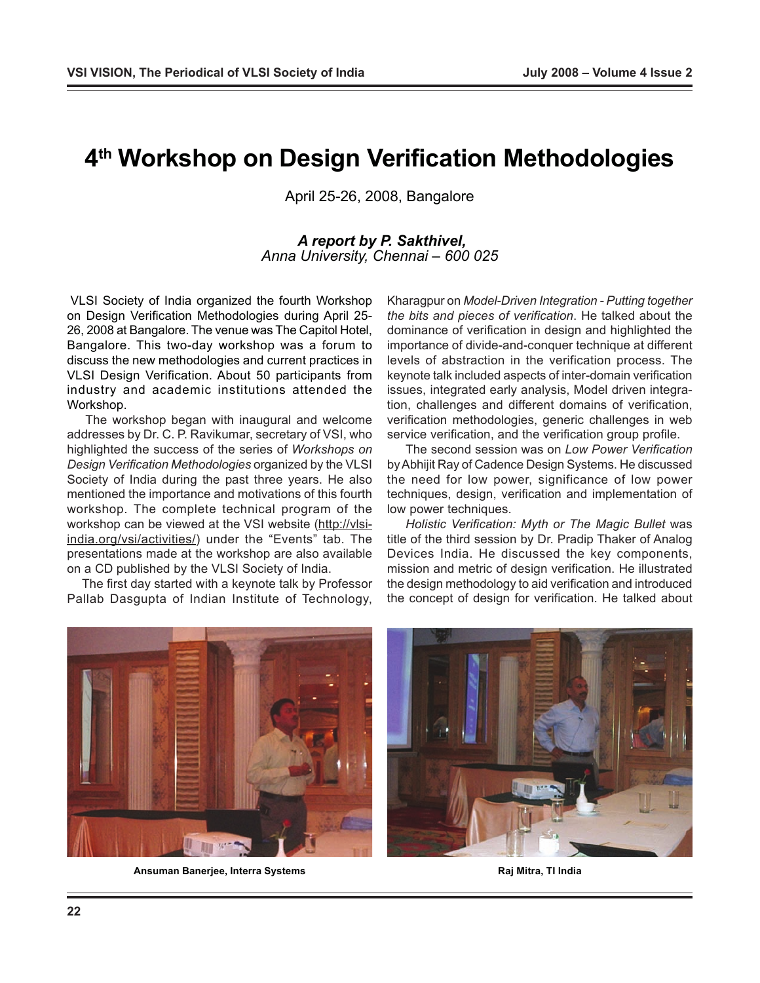# **4th Workshop on Design Verification Methodologies**

April 25-26, 2008, Bangalore

*A report by P. Sakthivel, Anna University, Chennai – 600 025*

 VLSI Society of India organized the fourth Workshop on Design Verification Methodologies during April 25- 26, 2008 at Bangalore. The venue was The Capitol Hotel, Bangalore. This two-day workshop was a forum to discuss the new methodologies and current practices in VLSI Design Verification. About 50 participants from industry and academic institutions attended the Workshop.

 The workshop began with inaugural and welcome addresses by Dr. C. P. Ravikumar, secretary of VSI, who highlighted the success of the series of *Workshops on Design Verification Methodologies* organized by the VLSI Society of India during the past three years. He also mentioned the importance and motivations of this fourth workshop. The complete technical program of the workshop can be viewed at the VSI website (http://vlsiindia.org/vsi/activities/) under the "Events" tab. The presentations made at the workshop are also available on a CD published by the VLSI Society of India.

The first day started with a keynote talk by Professor Pallab Dasgupta of Indian Institute of Technology,

Kharagpur on *Model-Driven Integration - Putting together the bits and pieces of verification*. He talked about the dominance of verification in design and highlighted the importance of divide-and-conquer technique at different levels of abstraction in the verification process. The keynote talk included aspects of inter-domain verification issues, integrated early analysis, Model driven integration, challenges and different domains of verification, verification methodologies, generic challenges in web service verification, and the verification group profile.

 The second session was on *Low Power Verification* by Abhijit Ray of Cadence Design Systems. He discussed the need for low power, significance of low power techniques, design, verification and implementation of low power techniques.

*Holistic Verification: Myth or The Magic Bullet* was title of the third session by Dr. Pradip Thaker of Analog Devices India. He discussed the key components, mission and metric of design verification. He illustrated the design methodology to aid verification and introduced the concept of design for verification. He talked about



**Ansuman Banerjee, Interra Systems**



**Raj Mitra, TI India**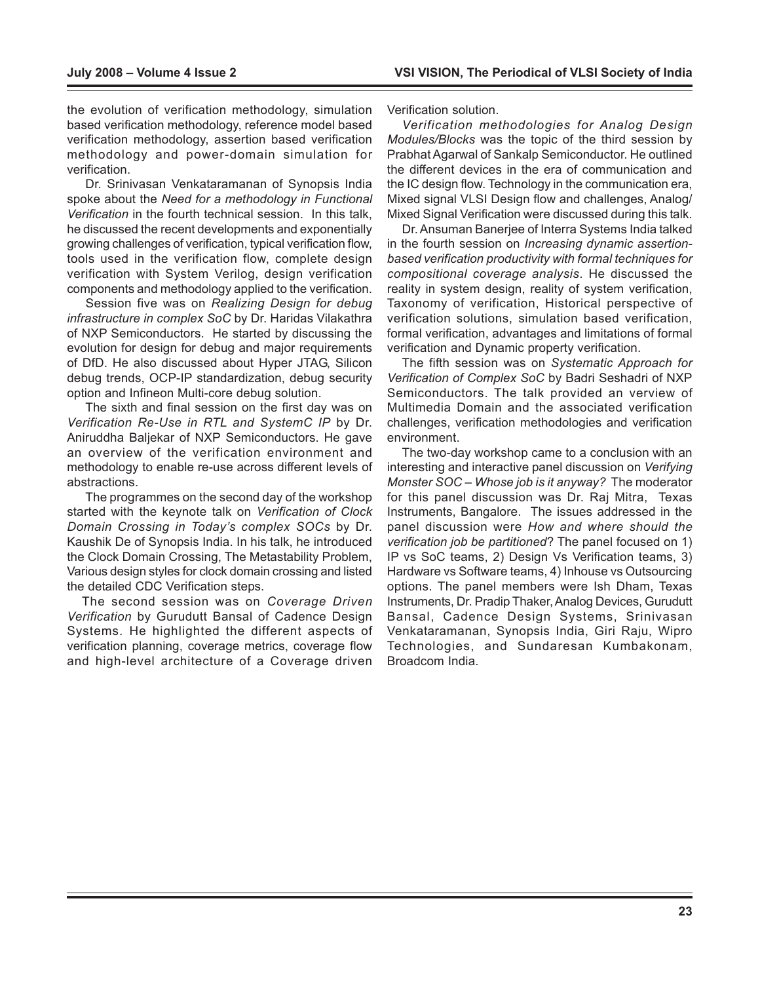the evolution of verification methodology, simulation based verification methodology, reference model based verification methodology, assertion based verification methodology and power-domain simulation for verification.

 Dr. Srinivasan Venkataramanan of Synopsis India spoke about the *Need for a methodology in Functional Verification* in the fourth technical session. In this talk, he discussed the recent developments and exponentially growing challenges of verification, typical verification flow, tools used in the verification flow, complete design verification with System Verilog, design verification components and methodology applied to the verification.

 Session five was on *Realizing Design for debug infrastructure in complex SoC* by Dr. Haridas Vilakathra of NXP Semiconductors. He started by discussing the evolution for design for debug and major requirements of DfD. He also discussed about Hyper JTAG, Silicon debug trends, OCP-IP standardization, debug security option and Infineon Multi-core debug solution.

 The sixth and final session on the first day was on *Verification Re-Use in RTL and SystemC IP* by Dr. Aniruddha Baljekar of NXP Semiconductors. He gave an overview of the verification environment and methodology to enable re-use across different levels of abstractions.

 The programmes on the second day of the workshop started with the keynote talk on *Verification of Clock Domain Crossing in Today's complex SOCs* by Dr. Kaushik De of Synopsis India. In his talk, he introduced the Clock Domain Crossing, The Metastability Problem, Various design styles for clock domain crossing and listed the detailed CDC Verification steps.

The second session was on *Coverage Driven Verification* by Gurudutt Bansal of Cadence Design Systems. He highlighted the different aspects of verification planning, coverage metrics, coverage flow and high-level architecture of a Coverage driven Verification solution.

*Verification methodologies for Analog Design Modules/Blocks* was the topic of the third session by Prabhat Agarwal of Sankalp Semiconductor. He outlined the different devices in the era of communication and the IC design flow. Technology in the communication era, Mixed signal VLSI Design flow and challenges, Analog/ Mixed Signal Verification were discussed during this talk.

Dr. Ansuman Banerjee of Interra Systems India talked in the fourth session on *Increasing dynamic assertionbased verification productivity with formal techniques for compositional coverage analysis*. He discussed the reality in system design, reality of system verification, Taxonomy of verification, Historical perspective of verification solutions, simulation based verification, formal verification, advantages and limitations of formal verification and Dynamic property verification.

The fifth session was on *Systematic Approach for Verification of Complex SoC* by Badri Seshadri of NXP Semiconductors. The talk provided an verview of Multimedia Domain and the associated verification challenges, verification methodologies and verification environment.

The two-day workshop came to a conclusion with an interesting and interactive panel discussion on *Verifying Monster SOC – Whose job is it anyway?* The moderator for this panel discussion was Dr. Raj Mitra, Texas Instruments, Bangalore. The issues addressed in the panel discussion were *How and where should the verification job be partitioned*? The panel focused on 1) IP vs SoC teams, 2) Design Vs Verification teams, 3) Hardware vs Software teams, 4) Inhouse vs Outsourcing options. The panel members were Ish Dham, Texas Instruments, Dr. Pradip Thaker, Analog Devices, Gurudutt Bansal, Cadence Design Systems, Srinivasan Venkataramanan, Synopsis India, Giri Raju, Wipro Technologies, and Sundaresan Kumbakonam, Broadcom India.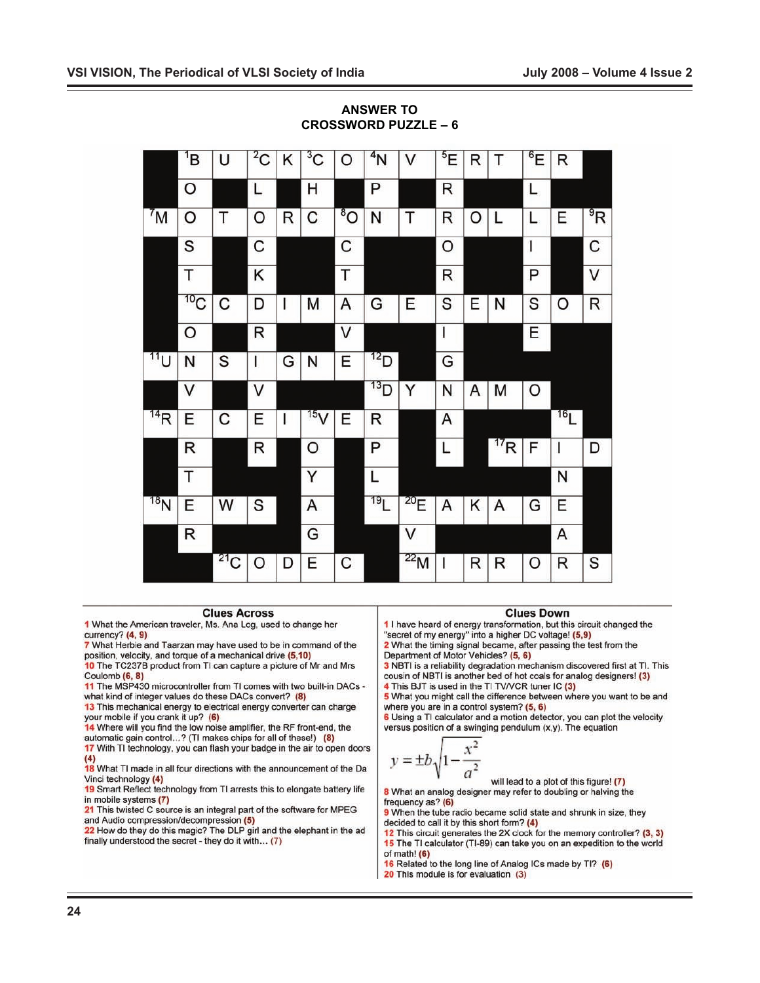|                | $\overline{B}$          | U         | $^{2}$ C | Κ | $^{3}C$ | O     | 4N              | V        | $\overline{^5E}$ | R | Т        | $^6E$ | R               |                |
|----------------|-------------------------|-----------|----------|---|---------|-------|-----------------|----------|------------------|---|----------|-------|-----------------|----------------|
|                | O                       |           | L        |   | Н       |       | P               |          | R                |   |          | L     |                 |                |
| 7 <sub>M</sub> | O                       | Т         | O        | R | С       | $O^8$ | N               | T        | R                | O | L        | L     | Ε               | $\overline{P}$ |
|                | S                       |           | С        |   |         | С     |                 |          | O                |   |          | l     |                 | С              |
|                | T                       |           | Κ        |   |         | Τ     |                 |          | R                |   |          | Ρ     |                 | V              |
|                | $10^{\circ}$ C          | С         | D        |   | M       | Α     | G               | Ε        | S                | Е | Ν        | S     | O               | R              |
|                | O                       |           | R        |   |         | V     |                 |          | I                |   |          | Е     |                 |                |
| $11$ U         | N                       | S         | I        | G | N       | Е     | 12D             |          | G                |   |          |       |                 |                |
|                | V                       |           | V        |   |         |       | 13D             | Υ        | N                | A | M        | O     |                 |                |
| $^{14}R$       | E                       | C         | Ε        | I | 15V     | Е     | R               |          | Α                |   |          |       | 16 <sub>L</sub> |                |
|                | R                       |           | R        |   | O       |       | P               |          | L                |   | $^{17}R$ | F     | $\mathbf{I}$    | D              |
|                | $\overline{\mathsf{T}}$ |           |          |   | Υ       |       | L               |          |                  |   |          |       | N               |                |
| $^{18}$ N      | Е                       | W         | S        |   | A       |       | 19 <sub>L</sub> | $^{20}E$ | Α                | Κ | Α        | G     | Ε               |                |
|                | R                       |           |          |   | G       |       |                 | V        |                  |   |          |       | Α               |                |
|                |                         | $^{21}$ C | O        | D | E       | С     |                 | $^{22}M$ | I                | R | R        | O     | R               | S              |

**ANSWER TO CROSSWORD PUZZLE – 6**

#### **Clues Across**

1 What the American traveler, Ms. Ana Log, used to change her currency? (4, 9)

7 What Herbie and Taarzan may have used to be in command of the position, velocity, and torque of a mechanical drive (5,10)

10 The TC237B product from TI can capture a picture of Mr and Mrs Coulomb (6, 8)

11 The MSP430 microcontroller from TI comes with two built-in DACs what kind of integer values do these DACs convert? (8)

13 This mechanical energy to electrical energy converter can charge your mobile if you crank it up? (6)

14 Where will you find the low noise amplifier, the RF front-end, the

automatic gain control...? (TI makes chips for all of these!) (8)

17 With TI technology, you can flash your badge in the air to open doors  $(4)$ 18 What TI made in all four directions with the announcement of the Da

Vinci technology (4)

19 Smart Reflect technology from TI arrests this to elongate battery life in mobile systems (7)

21 This twisted C source is an integral part of the software for MPEG 21 This wised of solid is an integral part of the soliwate for the LG<br>and Audio compression/decompression (5)<br>22 How do they do this magic? The DLP girl and the elephant in the ad

finally understood the secret - they do it with... (7)

#### **Clues Down**

1 I have heard of energy transformation, but this circuit changed the "secret of my energy" into a higher DC voltage! (5,9)

2 What the timing signal became, after passing the test from the

Department of Motor Vehicles? (5, 6) 3 NBTI is a reliability degradation mechanism discovered first at TI. This

cousin of NBTI is another bed of hot coals for analog designers! (3)

4 This BJT is used in the TI TV/VCR tuner IC (3)

5 What you might call the difference between where you want to be and where you are in a control system? (5, 6)

6 Using a TI calculator and a motion detector, you can plot the velocity versus position of a swinging pendulum (x,y). The equation

$$
y = \pm b \sqrt{1 - \frac{x^2}{a^2}}
$$

will lead to a plot of this figure! (7) 8 What an analog designer may refer to doubling or halving the frequency as? (6)

9 When the tube radio became solid state and shrunk in size, they decided to call it by this short form? (4)

12 This circuit generates the 2X clock for the memory controller? (3, 3) 15 The TI calculator (TI-89) can take you on an expedition to the world of math! (6)

16 Related to the long line of Analog ICs made by TI? (6)

20 This module is for evaluation (3)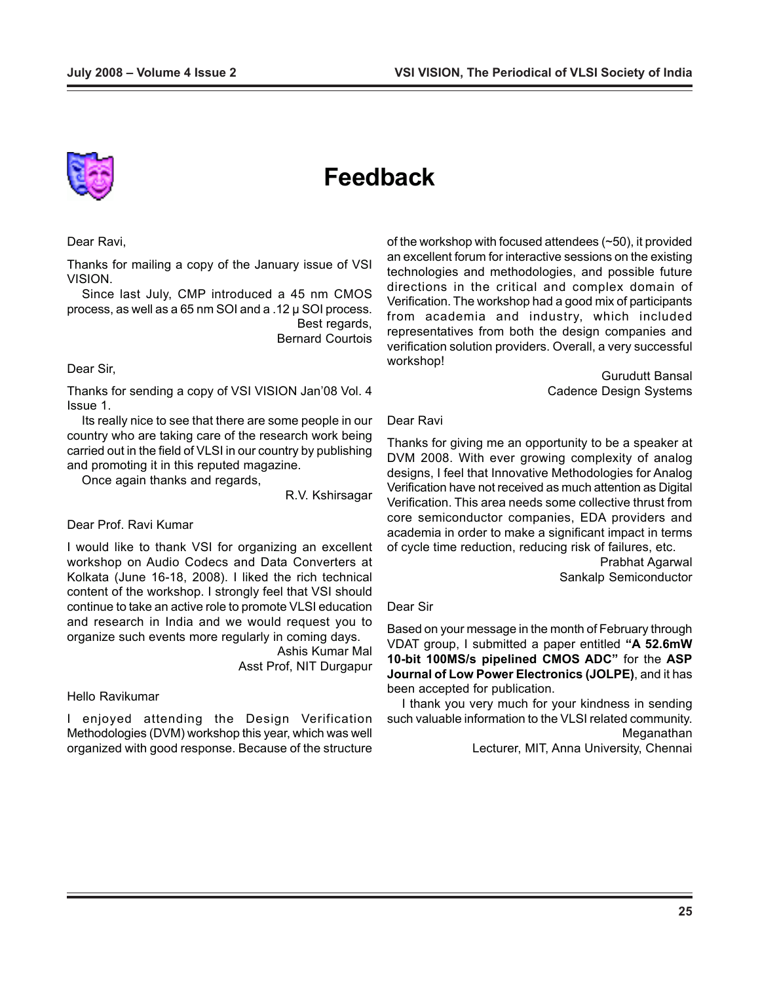

# **Feedback**

Dear Ravi,

Thanks for mailing a copy of the January issue of VSI VISION.

Since last July, CMP introduced a 45 nm CMOS process, as well as a 65 nm SOI and a .12 μ SOI process. Best regards,

Bernard Courtois

Dear Sir,

Thanks for sending a copy of VSI VISION Jan'08 Vol. 4 Issue 1.

Its really nice to see that there are some people in our country who are taking care of the research work being carried out in the field of VLSI in our country by publishing and promoting it in this reputed magazine.

Once again thanks and regards,

R.V. Kshirsagar

#### Dear Prof. Ravi Kumar

I would like to thank VSI for organizing an excellent workshop on Audio Codecs and Data Converters at Kolkata (June 16-18, 2008). I liked the rich technical content of the workshop. I strongly feel that VSI should continue to take an active role to promote VLSI education and research in India and we would request you to organize such events more regularly in coming days.

> Ashis Kumar Mal Asst Prof, NIT Durgapur

#### Hello Ravikumar

I enjoyed attending the Design Verification Methodologies (DVM) workshop this year, which was well organized with good response. Because of the structure

of the workshop with focused attendees (~50), it provided an excellent forum for interactive sessions on the existing technologies and methodologies, and possible future directions in the critical and complex domain of Verification. The workshop had a good mix of participants from academia and industry, which included representatives from both the design companies and verification solution providers. Overall, a very successful workshop!

> Gurudutt Bansal Cadence Design Systems

#### Dear Ravi

Thanks for giving me an opportunity to be a speaker at DVM 2008. With ever growing complexity of analog designs, I feel that Innovative Methodologies for Analog Verification have not received as much attention as Digital Verification. This area needs some collective thrust from core semiconductor companies, EDA providers and academia in order to make a significant impact in terms of cycle time reduction, reducing risk of failures, etc.

> Prabhat Agarwal Sankalp Semiconductor

#### Dear Sir

Based on your message in the month of February through VDAT group, I submitted a paper entitled **"A 52.6mW 10-bit 100MS/s pipelined CMOS ADC"** for the **ASP Journal of Low Power Electronics (JOLPE)**, and it has been accepted for publication.

I thank you very much for your kindness in sending such valuable information to the VLSI related community. Meganathan

Lecturer, MIT, Anna University, Chennai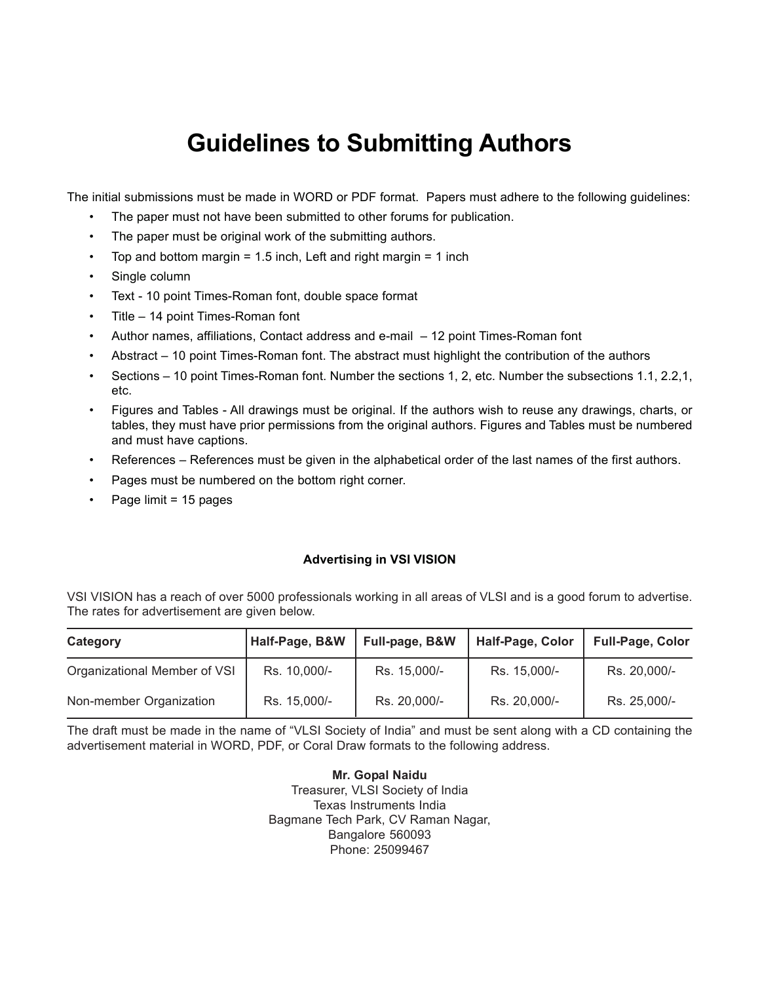# **Guidelines to Submitting Authors**

The initial submissions must be made in WORD or PDF format. Papers must adhere to the following guidelines:

- The paper must not have been submitted to other forums for publication.
- The paper must be original work of the submitting authors.
- Top and bottom margin  $= 1.5$  inch, Left and right margin  $= 1$  inch
- Single column
- Text 10 point Times-Roman font, double space format
- Title 14 point Times-Roman font
- Author names, affiliations, Contact address and e-mail 12 point Times-Roman font
- Abstract 10 point Times-Roman font. The abstract must highlight the contribution of the authors
- Sections 10 point Times-Roman font. Number the sections 1, 2, etc. Number the subsections 1.1, 2.2,1, etc.
- Figures and Tables All drawings must be original. If the authors wish to reuse any drawings, charts, or tables, they must have prior permissions from the original authors. Figures and Tables must be numbered and must have captions.
- References References must be given in the alphabetical order of the last names of the first authors.
- Pages must be numbered on the bottom right corner.
- Page limit = 15 pages

### **Advertising in VSI VISION**

VSI VISION has a reach of over 5000 professionals working in all areas of VLSI and is a good forum to advertise. The rates for advertisement are given below.

| Category                     | Half-Page, B&W | Full-page, B&W | Half-Page, Color | <b>Full-Page, Color</b> |
|------------------------------|----------------|----------------|------------------|-------------------------|
| Organizational Member of VSI | Rs. 10,000/-   | Rs. 15,000/-   | Rs. 15,000/-     | Rs. 20,000/-            |
| Non-member Organization      | Rs. 15,000/-   | Rs. 20,000/-   | Rs. 20,000/-     | Rs. 25,000/-            |

The draft must be made in the name of "VLSI Society of India" and must be sent along with a CD containing the advertisement material in WORD, PDF, or Coral Draw formats to the following address.

> **Mr. Gopal Naidu** Treasurer, VLSI Society of India Texas Instruments India Bagmane Tech Park, CV Raman Nagar, Bangalore 560093 Phone: 25099467